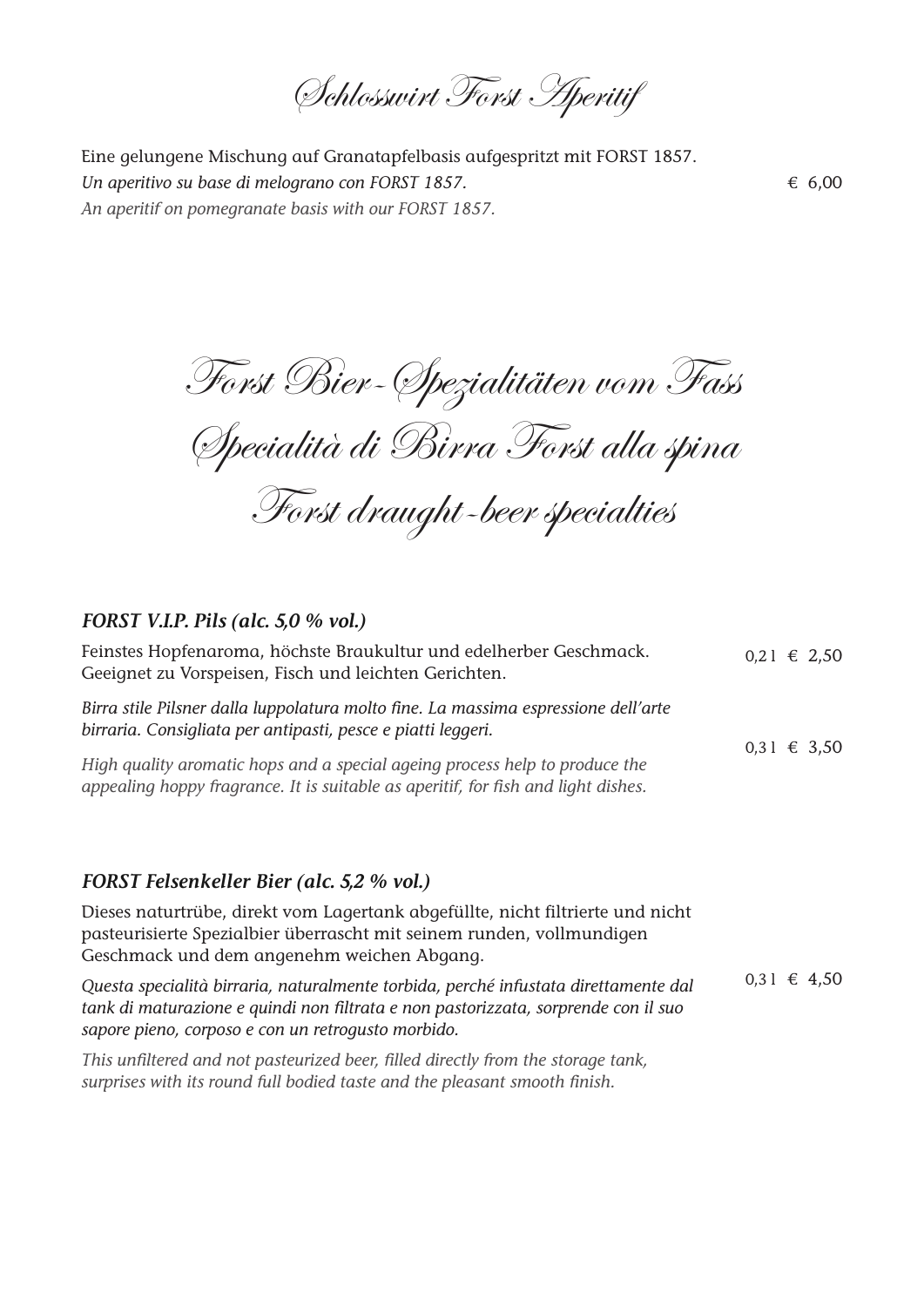Schlosswirt Forst Aperitif

Eine gelungene Mischung auf Granatapfelbasis aufgespritzt mit FORST 1857. *Un aperitivo su base di melograno con FORST 1857. An aperitif on pomegranate basis with our FORST 1857.*

€ 6,00

Forst Bier-Spezialitäten vom Fass Specialità di Birra Forst alla spina Forst draught-beer specialties

## *FORST V.I.P. Pils (alc. 5,0 % vol.)*

| Feinstes Hopfenaroma, höchste Braukultur und edelherber Geschmack.<br>Geeignet zu Vorspeisen, Fisch und leichten Gerichten.                                                                                                     | $0,21 \in 2,50$ |  |  |
|---------------------------------------------------------------------------------------------------------------------------------------------------------------------------------------------------------------------------------|-----------------|--|--|
| Birra stile Pilsner dalla luppolatura molto fine. La massima espressione dell'arte<br>birraria. Consigliata per antipasti, pesce e piatti leggeri.                                                                              | $0,31 \in 3,50$ |  |  |
| High quality aromatic hops and a special ageing process help to produce the<br>appealing hoppy fragrance. It is suitable as aperitif, for fish and light dishes.                                                                |                 |  |  |
|                                                                                                                                                                                                                                 |                 |  |  |
| FORST Felsenkeller Bier (alc. 5,2 % vol.)                                                                                                                                                                                       |                 |  |  |
| Dieses naturtrübe, direkt vom Lagertank abgefüllte, nicht filtrierte und nicht<br>pasteurisierte Spezialbier überrascht mit seinem runden, vollmundigen<br>Geschmack und dem angenehm weichen Abgang.                           |                 |  |  |
| Questa specialità birraria, naturalmente torbida, perché infustata direttamente dal<br>tank di maturazione e quindi non filtrata e non pastorizzata, sorprende con il suo<br>sapore pieno, corposo e con un retrogusto morbido. | $0,31 \in 4,50$ |  |  |
| This unfiltered and not pasteurized beer, filled directly from the storage tank,<br>surprises with its round full bodied taste and the pleasant smooth finish.                                                                  |                 |  |  |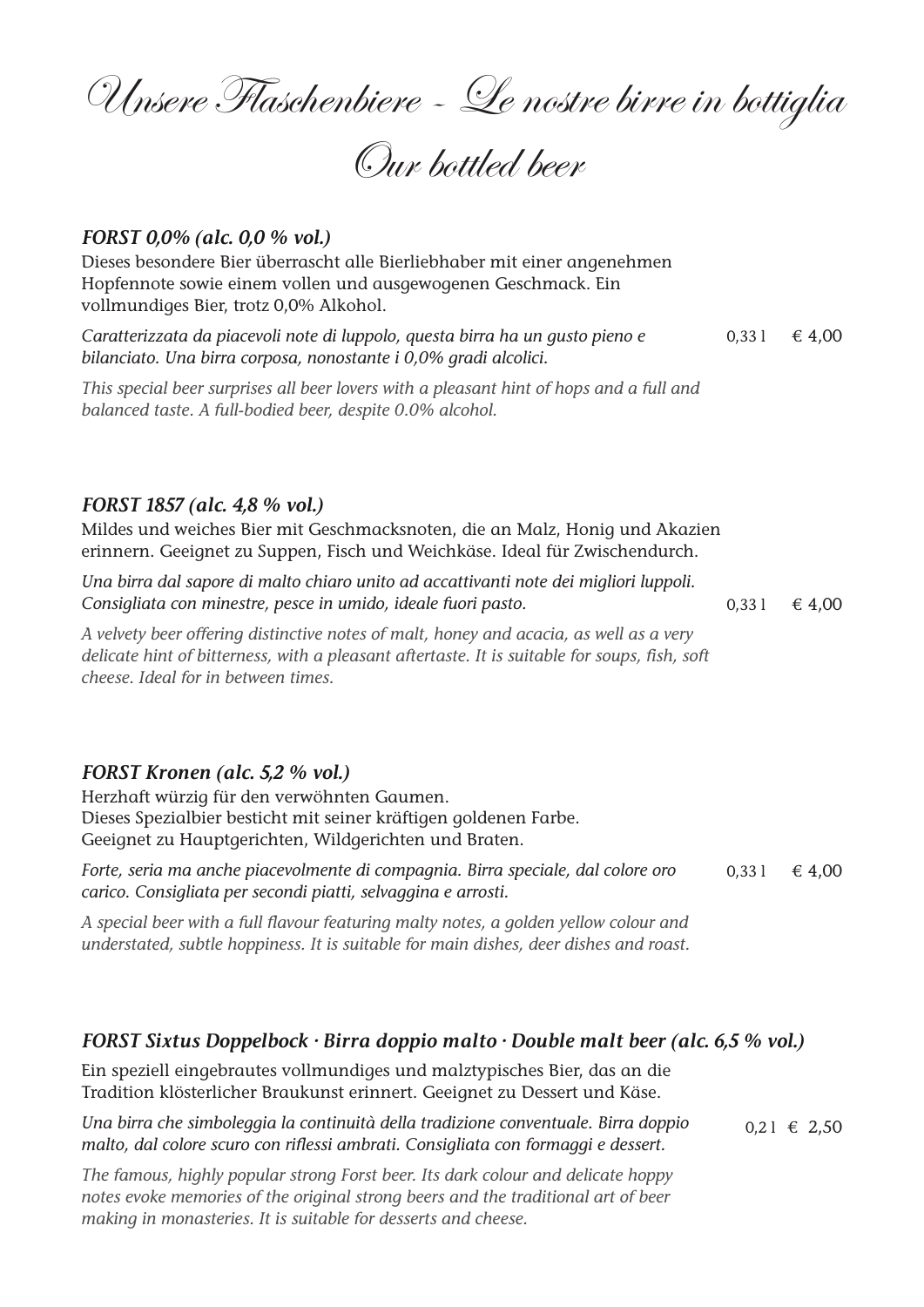Unsere Flaschenbiere - Le nostre birre in bottiglia

Our bottled beer

### *FORST 0,0% (alc. 0,0 % vol.)*

Dieses besondere Bier überrascht alle Bierliebhaber mit einer angenehmen Hopfennote sowie einem vollen und ausgewogenen Geschmack. Ein vollmundiges Bier, trotz 0,0% Alkohol.

0,33 l  $\in$  4,00 *Caratterizzata da piacevoli note di luppolo, questa birra ha un gusto pieno e bilanciato. Una birra corposa, nonostante i 0,0% gradi alcolici.*

*This special beer surprises all beer lovers with a pleasant hint of hops and a full and balanced taste. A full-bodied beer, despite 0.0% alcohol.*

#### *FORST 1857 (alc. 4,8 % vol.)*

Mildes und weiches Bier mit Geschmacksnoten, die an Malz, Honig und Akazien erinnern. Geeignet zu Suppen, Fisch und Weichkäse. Ideal für Zwischendurch.

0,33 l  $\in$  4,00 *Una birra dal sapore di malto chiaro unito ad accattivanti note dei migliori luppoli. Consigliata con minestre, pesce in umido, ideale fuori pasto.*

*A velvety beer offering distinctive notes of malt, honey and acacia, as well as a very delicate hint of bitterness, with a pleasant aftertaste. It is suitable for soups, fish, soft cheese. Ideal for in between times.*

#### *FORST Kronen (alc. 5,2 % vol.)*

Herzhaft würzig für den verwöhnten Gaumen. Dieses Spezialbier besticht mit seiner kräftigen goldenen Farbe. Geeignet zu Hauptgerichten, Wildgerichten und Braten.

0.33 l  $\in$  4.00 *Forte, seria ma anche piacevolmente di compagnia. Birra speciale, dal colore oro carico. Consigliata per secondi piatti, selvaggina e arrosti.*

*A special beer with a full flavour featuring malty notes, a golden yellow colour and understated, subtle hoppiness. It is suitable for main dishes, deer dishes and roast.*

## *FORST Sixtus Doppelbock · Birra doppio malto · Double malt beer (alc. 6,5 % vol.)*

Ein speziell eingebrautes vollmundiges und malztypisches Bier, das an die Tradition klösterlicher Braukunst erinnert. Geeignet zu Dessert und Käse.

*Una birra che simboleggia la continuità della tradizione conventuale. Birra doppio malto, dal colore scuro con riflessi ambrati. Consigliata con formaggi e dessert.*  $0,21 \in 2,50$ 

*The famous, highly popular strong Forst beer. Its dark colour and delicate hoppy notes evoke memories of the original strong beers and the traditional art of beer making in monasteries. It is suitable for desserts and cheese.*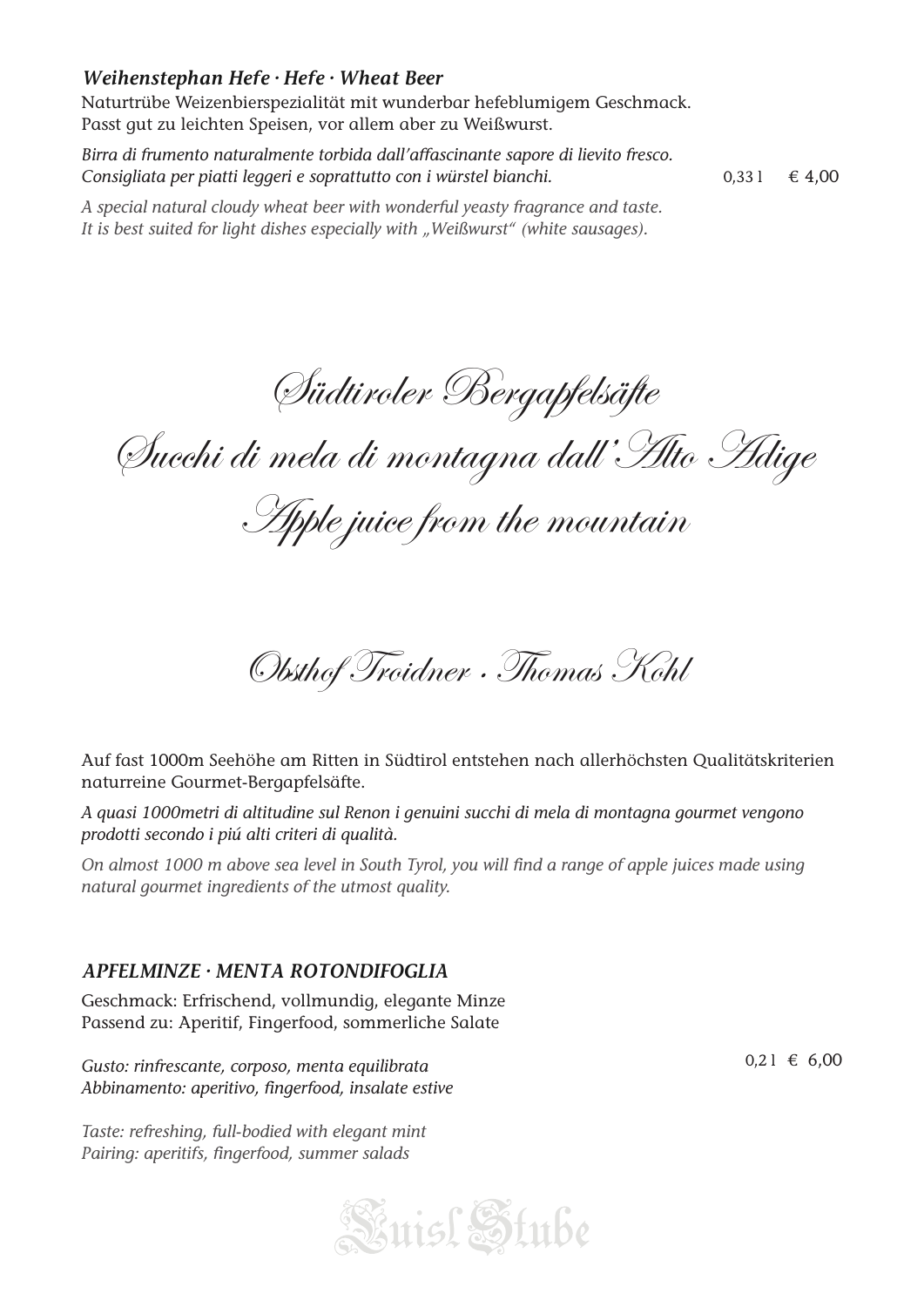# *Weihenstephan Hefe · Hefe · Wheat Beer*

Naturtrübe Weizenbierspezialität mit wunderbar hefeblumigem Geschmack. Passt gut zu leichten Speisen, vor allem aber zu Weißwurst.

*Birra di frumento naturalmente torbida dall'affascinante sapore di lievito fresco. Consigliata per piatti leggeri e soprattutto con i würstel bianchi.*

0,33 l  $\in$  4,00

*A special natural cloudy wheat beer with wonderful yeasty fragrance and taste.* It is best suited for light dishes especially with "Weißwurst" (white sausages).

Südtiroler Bergapfelsäfte

Succhi di mela di montagna dall'Alto Adige

Apple juice from the mountain

Obsthof Troidner · Thomas Kohl

Auf fast 1000m Seehöhe am Ritten in Südtirol entstehen nach allerhöchsten Qualitätskriterien naturreine Gourmet-Bergapfelsäfte.

*A quasi 1000metri di altitudine sul Renon i genuini succhi di mela di montagna gourmet vengono prodotti secondo i piú alti criteri di qualità.*

*On almost 1000 m above sea level in South Tyrol, you will find a range of apple juices made using natural gourmet ingredients of the utmost quality.*

# *APFELMINZE · MENTA ROTONDIFOGLIA*

Geschmack: Erfrischend, vollmundig, elegante Minze Passend zu: Aperitif, Fingerfood, sommerliche Salate

*Gusto: rinfrescante, corposo, menta equilibrata Abbinamento: aperitivo, fingerfood, insalate estive*

*Taste: refreshing, full-bodied with elegant mint Pairing: aperitifs, fingerfood, summer salads*



 $0,21 \in 6,00$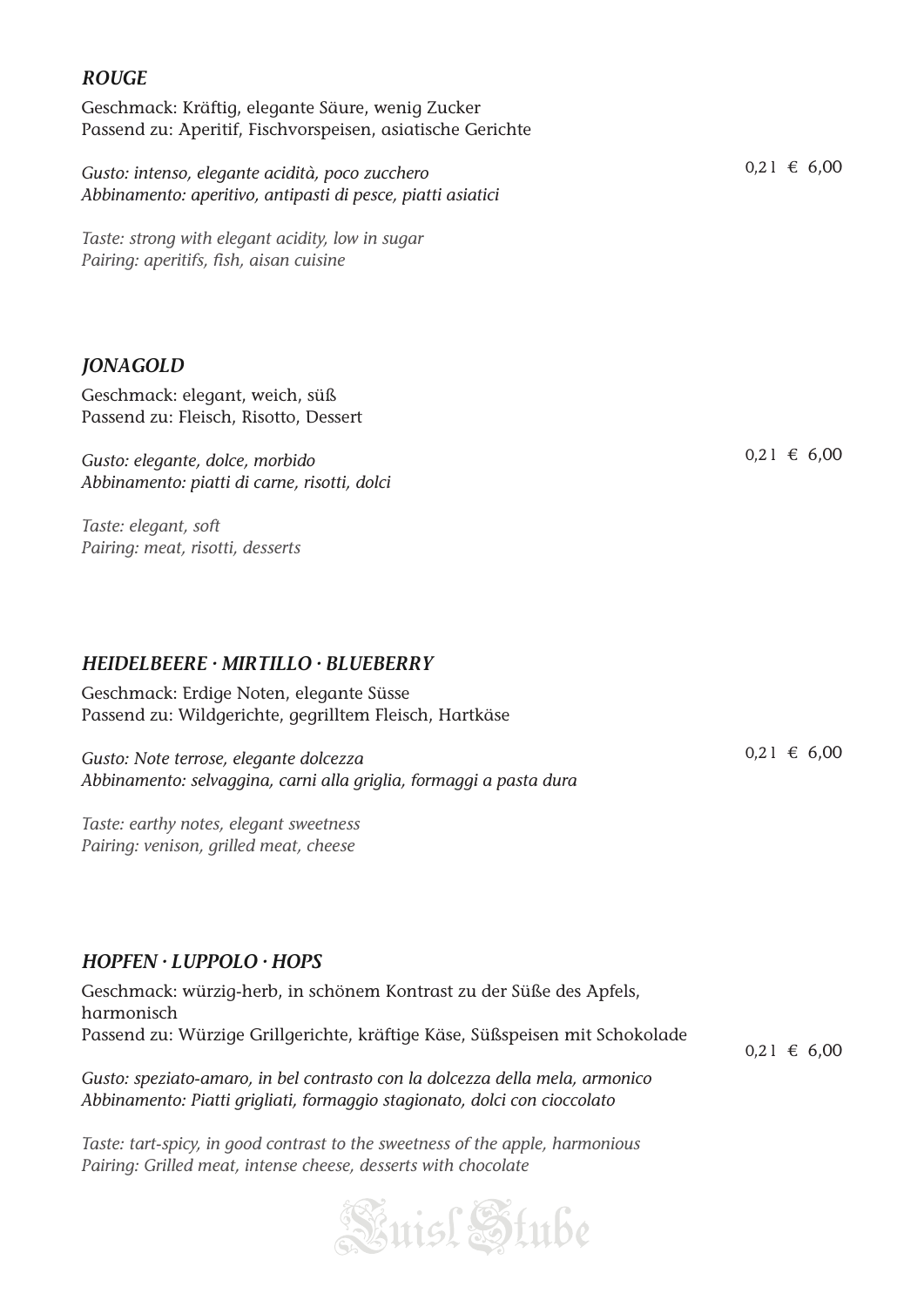# *ROUGE*

Geschmack: Kräftig, elegante Säure, wenig Zucker Passend zu: Aperitif, Fischvorspeisen, asiatische Gerichte

*Gusto: intenso, elegante acidità, poco zucchero Abbinamento: aperitivo, antipasti di pesce, piatti asiatici*

*Taste: strong with elegant acidity, low in sugar Pairing: aperitifs, fish, aisan cuisine*

## *JONAGOLD*

Geschmack: elegant, weich, süß Passend zu: Fleisch, Risotto, Dessert

*Gusto: elegante, dolce, morbido Abbinamento: piatti di carne, risotti, dolci*

*Taste: elegant, soft Pairing: meat, risotti, desserts*

*HEIDELBEERE · MIRTILLO · BLUEBERRY*

Geschmack: Erdige Noten, elegante Süsse Passend zu: Wildgerichte, gegrilltem Fleisch, Hartkäse

*Gusto: Note terrose, elegante dolcezza Abbinamento: selvaggina, carni alla griglia, formaggi a pasta dura*

*Taste: earthy notes, elegant sweetness Pairing: venison, grilled meat, cheese*

## *HOPFEN · LUPPOLO · HOPS*

| Geschmack: würzig-herb, in schönem Kontrast zu der Süße des Apfels,          |                          |  |
|------------------------------------------------------------------------------|--------------------------|--|
| harmonisch                                                                   |                          |  |
| Passend zu: Würzige Grillgerichte, kräftige Käse, Süßspeisen mit Schokolade  | $0.21 \text{ } \in 6.00$ |  |
| Gusto: speziato-amaro, in bel contrasto con la dolcezza della mela, armonico |                          |  |

*Taste: tart-spicy, in good contrast to the sweetness of the apple, harmonious Pairing: Grilled meat, intense cheese, desserts with chocolate*

*Abbinamento: Piatti grigliati, formaggio stagionato, dolci con cioccolato*



 $0.21 \text{ € } 6.00$ 

 $0,21 \in 6,00$ 

 $0,21 \in 6,00$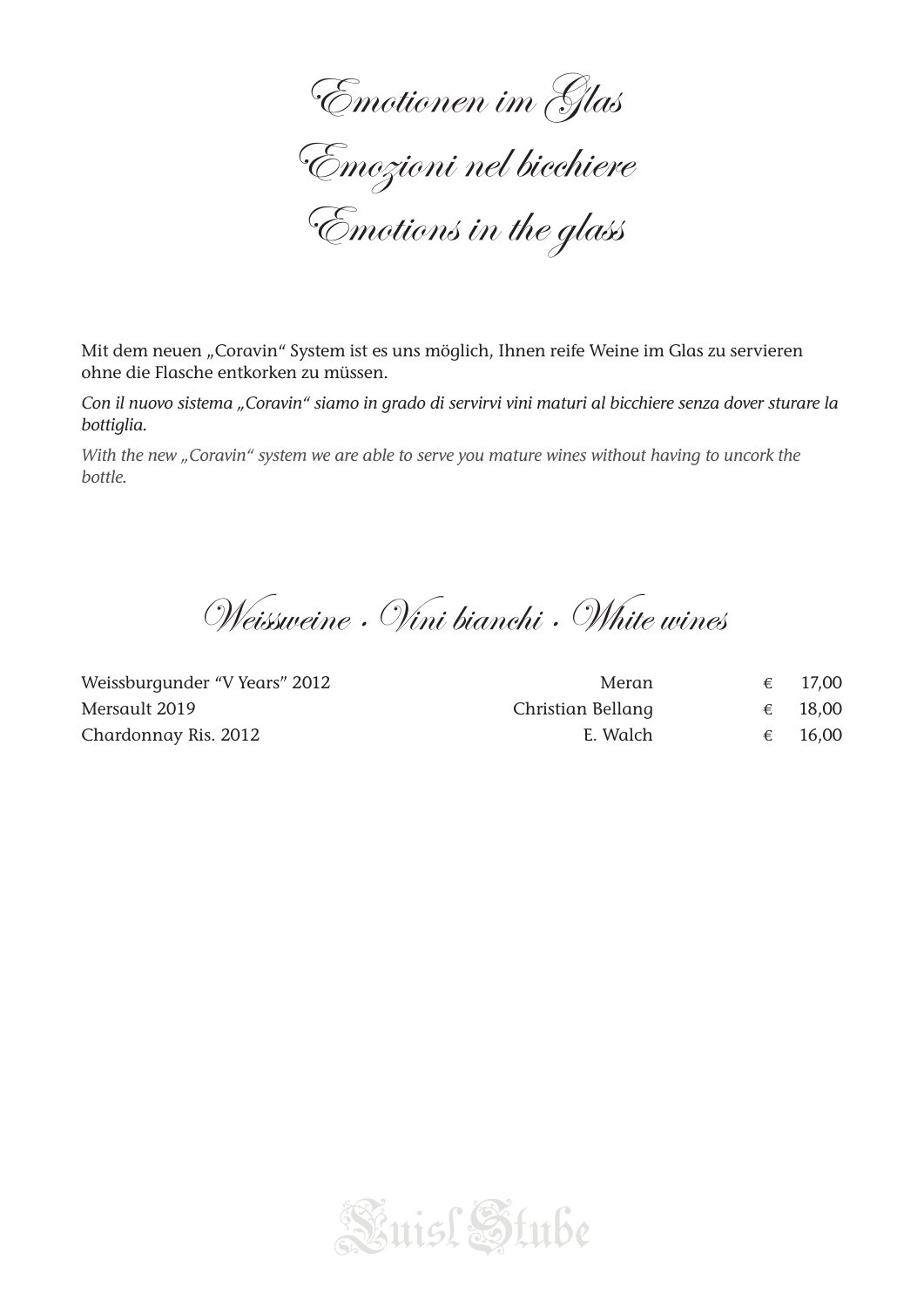Emotionen im Glas Emozioni nel bicchiere Emotions in the glass

Mit dem neuen "Coravin" System ist es uns möglich, Ihnen reife Weine im Glas zu servieren ohne die Flasche entkorken zu müssen.

*Con il nuovo sistema "Coravin" siamo in grado di servirvi vini maturi al bicchiere senza dover sturare la bottiglia.*

*With the new "Coravin" system we are able to serve you mature wines without having to uncork the bottle.*

Weissweine · Vini bianchi · White wines

| Weissburgunder "V Years" 2012 | Meran             |   | 17.00 |
|-------------------------------|-------------------|---|-------|
| Mersault 2019                 | Christian Bellang | € | 18,00 |
| Chardonnay Ris. 2012          | E. Walch          |   | 16.00 |

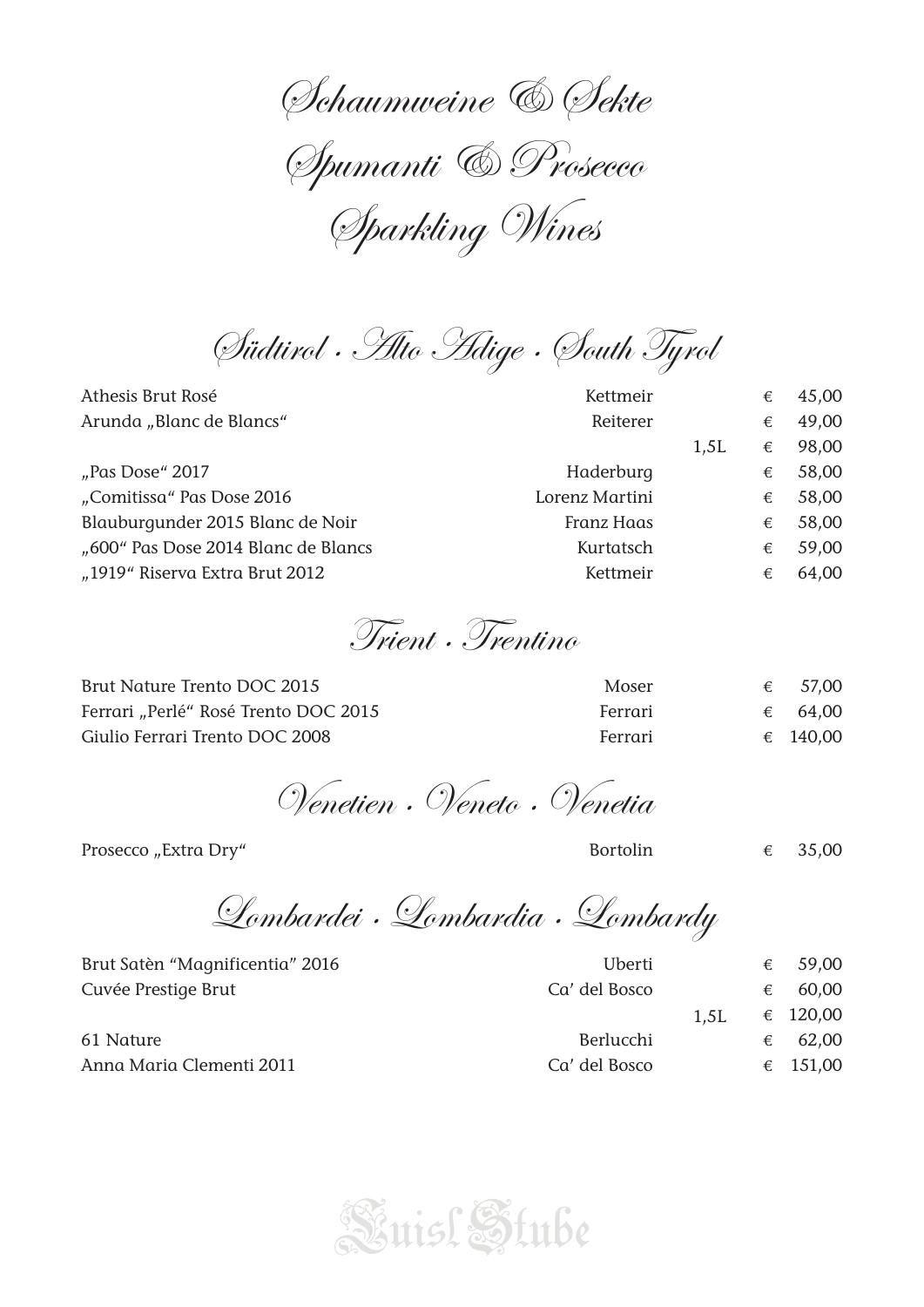Schaumweine & Sekte Spumanti & Prosecco Sparkling Wines

Südtirol · Alto Adige · South Tyrol

| Athesis Brut Rosé                   | Kettmeir       |      | € | 45,00 |
|-------------------------------------|----------------|------|---|-------|
| Arunda "Blanc de Blancs"            | Reiterer       |      | € | 49,00 |
|                                     |                | 1,5L | € | 98,00 |
| "Pas Dose" 2017                     | Haderburg      |      | € | 58,00 |
| "Comitissa" Pas Dose 2016           | Lorenz Martini |      | € | 58,00 |
| Blauburgunder 2015 Blanc de Noir    | Franz Haas     |      | € | 58,00 |
| "600" Pas Dose 2014 Blanc de Blancs | Kurtatsch      |      | € | 59,00 |
| "1919" Riserva Extra Brut 2012      | Kettmeir       |      | € | 64,00 |
|                                     |                |      |   |       |

Trient · Trentino

| Brut Nature Trento DOC 2015          | Moser   | 57,00            |
|--------------------------------------|---------|------------------|
| Ferrari "Perlé" Rosé Trento DOC 2015 | Ferrari | $\epsilon$ 64,00 |
| Giulio Ferrari Trento DOC 2008       | Ferrari | € 140,00         |

Venetien · Veneto · Venetia

Prosecco "Extra Dry" Bortolin  $\epsilon$  35,00

Lombardei · Lombardia · Lombardy

Cuvée Prestige Brut Ca' del Bosco € 60,00

Brut Satèn "Magnificentia" 2016  $\epsilon$  59,00

 $1,5L$   $\in$  120,00 61 Nature  $\epsilon$  62,00 Anna Maria Clementi 2011 Ca' del Bosco € 151,00 1,5L

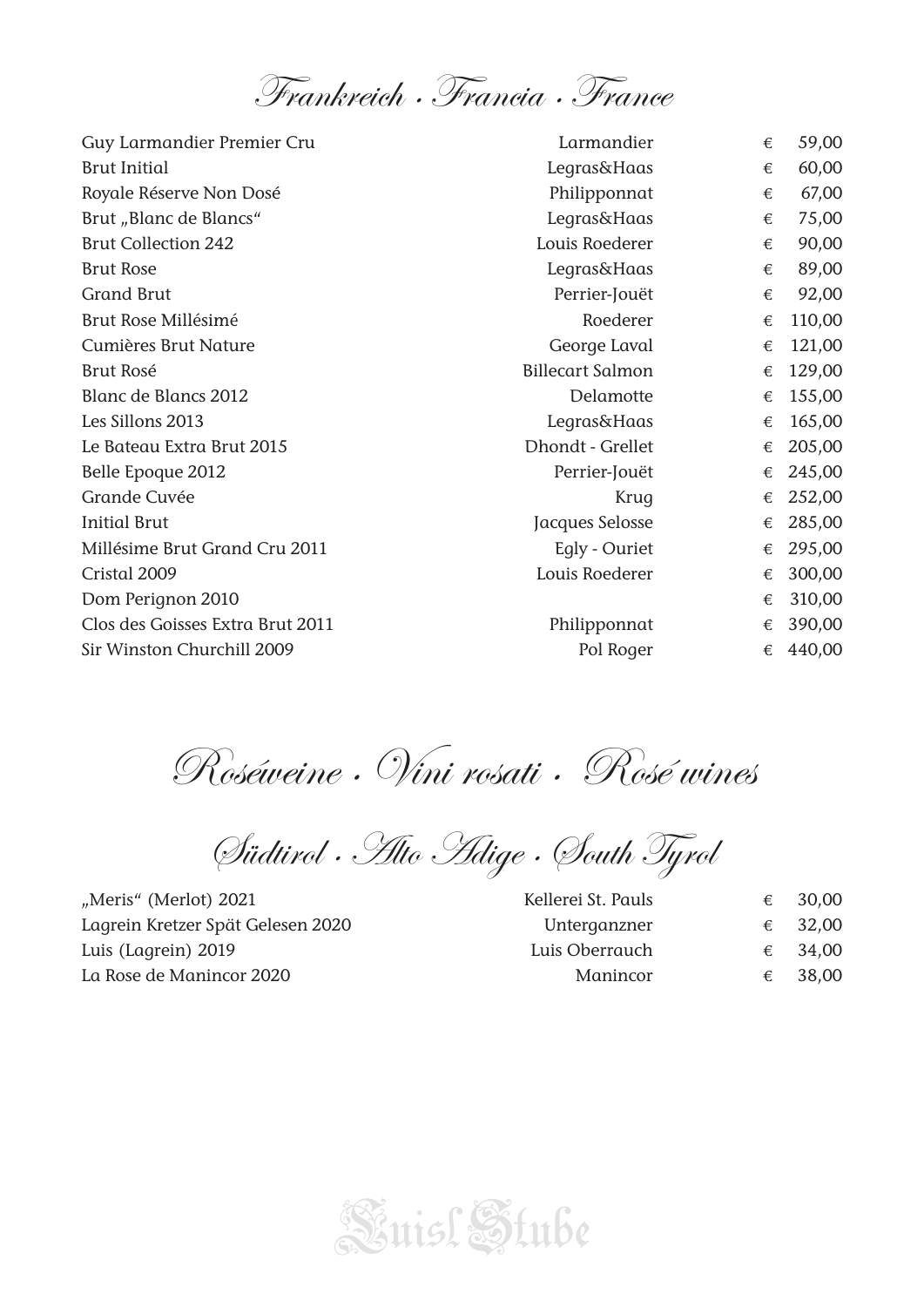Frankreich · Francia · France

| Guy Larmandier Premier Cru       | Larmandier              | € | 59,00  |
|----------------------------------|-------------------------|---|--------|
| <b>Brut Initial</b>              | <b>Legras&amp;Haas</b>  | € | 60,00  |
| Royale Réserve Non Dosé          | Philipponnat            | € | 67,00  |
| Brut "Blanc de Blancs"           | Legras&Haas             | € | 75,00  |
| <b>Brut Collection 242</b>       | Louis Roederer          | € | 90,00  |
| <b>Brut Rose</b>                 | Legras&Haas             | € | 89,00  |
| <b>Grand Brut</b>                | Perrier-Jouët           | € | 92,00  |
| Brut Rose Millésimé              | Roederer                | € | 110,00 |
| Cumières Brut Nature             | George Laval            | € | 121,00 |
| <b>Brut Rosé</b>                 | <b>Billecart Salmon</b> | € | 129,00 |
| Blanc de Blancs 2012             | Delamotte               | € | 155,00 |
| Les Sillons 2013                 | <b>Legras&amp;Haas</b>  | € | 165,00 |
| Le Bateau Extra Brut 2015        | Dhondt - Grellet        | € | 205,00 |
| Belle Epoque 2012                | Perrier-Jouët           | € | 245,00 |
| Grande Cuvée                     | Krug                    | € | 252,00 |
| <b>Initial Brut</b>              | Jacques Selosse         | € | 285,00 |
| Millésime Brut Grand Cru 2011    | Egly - Ouriet           | € | 295,00 |
| Cristal 2009                     | Louis Roederer          | € | 300,00 |
| Dom Perignon 2010                |                         | € | 310,00 |
| Clos des Goisses Extra Brut 2011 | Philipponnat            | € | 390,00 |
| Sir Winston Churchill 2009       | Pol Roger               | € | 440,00 |

Roséweine · Vini rosati · Rosé wines

Südtirol · Alto Adige · South Tyrol

"Meris" (Merlot) 2021 Lagrein Kretzer Spät Gelesen 2020 Luis (Lagrein) 2019 La Rose de Manincor 2020

| Kellerei St. Pauls | € | 30,00   |
|--------------------|---|---------|
| Unterganzner       |   | € 32,00 |
| Luis Oberrauch     |   | € 34,00 |
| Manincor           | € | 38,00   |

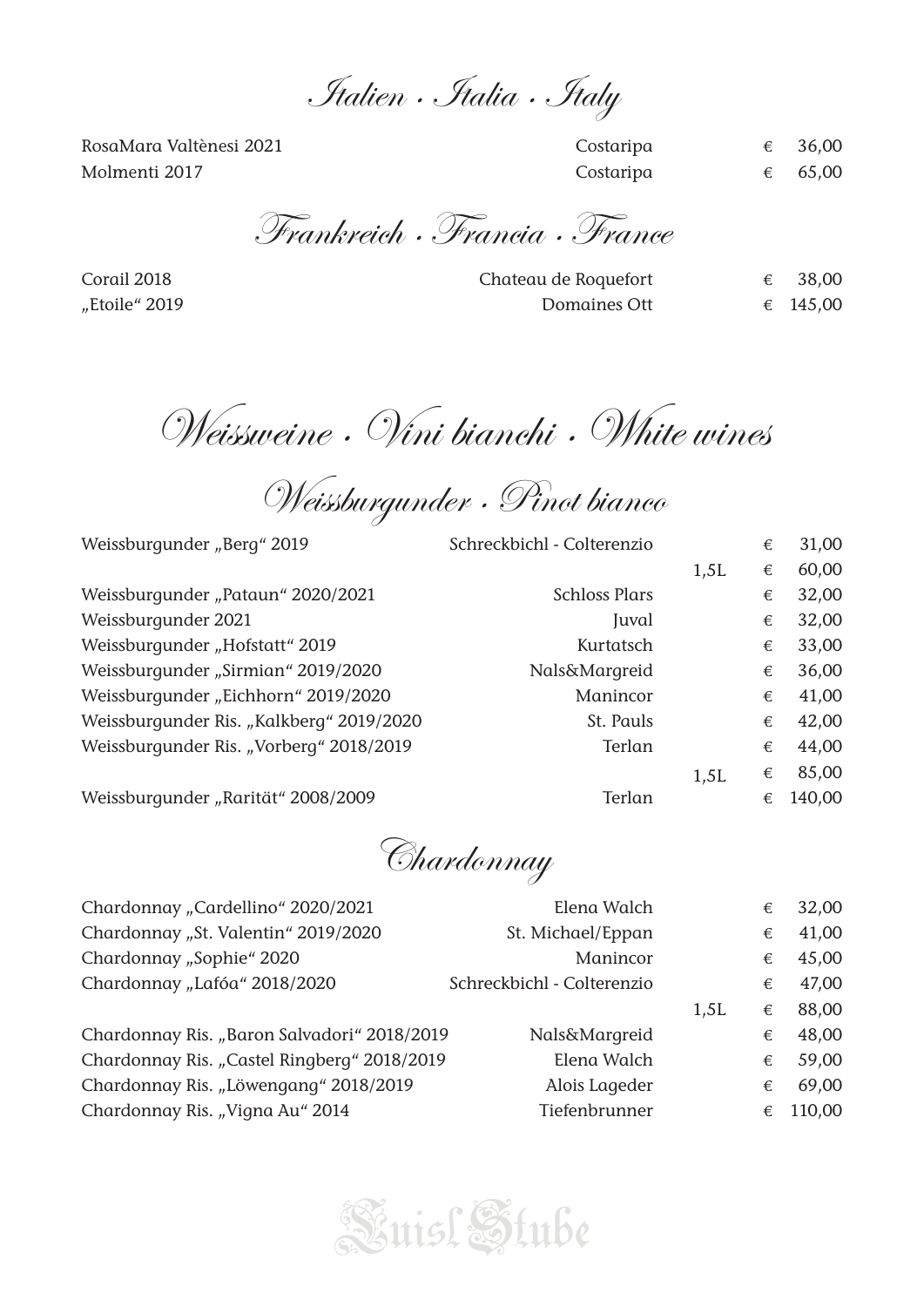Italien · Italia · Italy

RosaMara Valtènesi 2021 Costaripa € 36,00 Molmenti 2017 **Costaripa**  $\epsilon$  65,00

Frankreich · Francia · France

Corail 2018 **Chateau de Roquefort**  $\epsilon$  38,00  $\mu$ Etoile" 2019 **Domaines Ott**  $\epsilon$  145,00

Weissweine · Vini bianchi · White wines

Weissburgunder · Pinot bianco

| Weissburgunder "Berg" 2019               | Schreckbichl - Colterenzio |      | € | 31,00  |
|------------------------------------------|----------------------------|------|---|--------|
|                                          |                            | 1,5L | € | 60,00  |
| Weissburgunder "Pataun" 2020/2021        | <b>Schloss Plars</b>       |      | € | 32,00  |
| Weissburgunder 2021                      | Juval                      |      | € | 32,00  |
| Weissburgunder "Hofstatt" 2019           | Kurtatsch                  |      | € | 33,00  |
| Weissburgunder "Sirmian" 2019/2020       | <b>Nals&amp;Margreid</b>   |      | € | 36,00  |
| Weissburgunder "Eichhorn" 2019/2020      | Manincor                   |      | € | 41,00  |
| Weissburgunder Ris. "Kalkberg" 2019/2020 | St. Pauls                  |      | € | 42,00  |
| Weissburgunder Ris. "Vorberg" 2018/2019  | Terlan                     |      | € | 44,00  |
|                                          |                            | 1,5L | € | 85,00  |
| Weissburgunder "Rarität" 2008/2009       | Terlan                     |      | € | 140,00 |

Chardonnay

| Chardonnay "Cardellino" 2020/2021           | Elena Walch                |      | € | 32,00  |
|---------------------------------------------|----------------------------|------|---|--------|
| Chardonnay "St. Valentin" 2019/2020         | St. Michael/Eppan          |      | € | 41,00  |
| Chardonnay "Sophie" 2020                    | Manincor                   |      | € | 45,00  |
| Chardonnay "Lafóa" 2018/2020                | Schreckbichl - Colterenzio |      | € | 47,00  |
|                                             |                            | 1,5L | € | 88,00  |
| Chardonnay Ris. "Baron Salvadori" 2018/2019 | <b>Nals&amp;Margreid</b>   |      | € | 48,00  |
| Chardonnay Ris. "Castel Ringberg" 2018/2019 | Elena Walch                |      | € | 59,00  |
| Chardonnay Ris. "Löwengang" 2018/2019       | Alois Lageder              |      | € | 69,00  |
| Chardonnay Ris. "Vigna Au" 2014             | Tiefenbrunner              |      | € | 110,00 |
|                                             |                            |      |   |        |

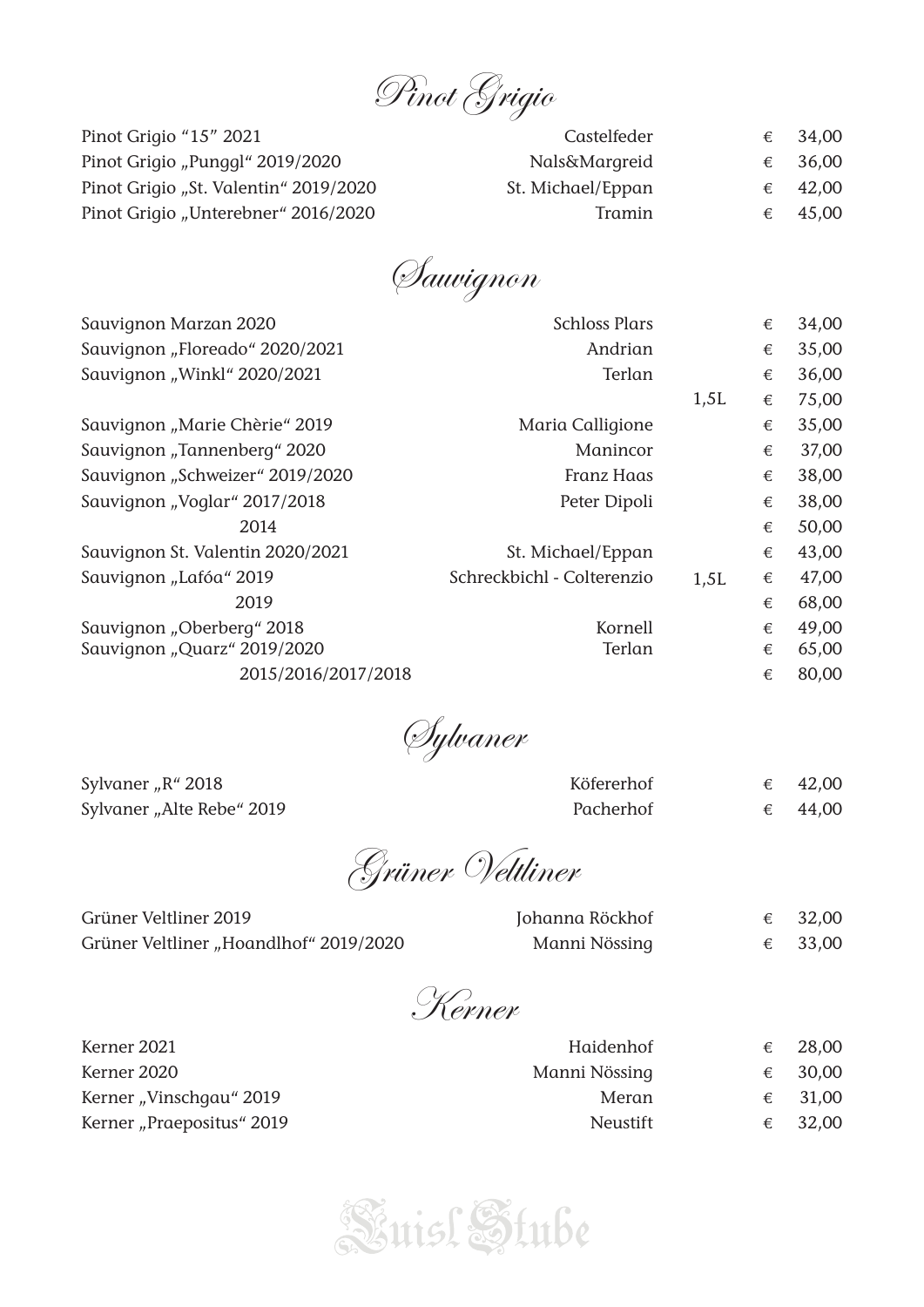

| Pinot Grigio "15" 2021                | Castelfeder       | € 34,00 |
|---------------------------------------|-------------------|---------|
| Pinot Grigio "Punggl" 2019/2020       | Nals&Margreid     | € 36,00 |
| Pinot Grigio "St. Valentin" 2019/2020 | St. Michael/Eppan | € 42,00 |
| Pinot Grigio "Unterebner" 2016/2020   | Tramin            | € 45,00 |

Sauvignon

| Sauvignon Marzan 2020            | <b>Schloss Plars</b>       |      | € | 34,00 |
|----------------------------------|----------------------------|------|---|-------|
| Sauvignon "Floreado" 2020/2021   | Andrian                    |      | € | 35,00 |
| Sauvignon "Winkl" 2020/2021      | Terlan                     |      | € | 36,00 |
|                                  |                            | 1,5L | € | 75,00 |
| Sauvignon "Marie Chèrie" 2019    | Maria Calligione           |      | € | 35,00 |
| Sauvignon "Tannenberg" 2020      | Manincor                   |      | € | 37,00 |
| Sauvignon "Schweizer" 2019/2020  | Franz Haas                 |      | € | 38,00 |
| Sauvignon "Voglar" 2017/2018     | Peter Dipoli               |      | € | 38,00 |
| 2014                             |                            |      | € | 50,00 |
| Sauvignon St. Valentin 2020/2021 | St. Michael/Eppan          |      | € | 43,00 |
| Sauvignon "Lafóa" 2019           | Schreckbichl - Colterenzio | 1,5L | € | 47,00 |
| 2019                             |                            |      | € | 68,00 |
| Sauvignon "Oberberg" 2018        | Kornell                    |      | € | 49,00 |
| Sauvignon "Quarz" 2019/2020      | Terlan                     |      | € | 65,00 |
| 2015/2016/2017/2018              |                            |      | € | 80,00 |

Sylvaner

Sylvaner "R" 2018 Sylvaner "Alte Rebe" 2019

| Köfererhof | 42,00 |
|------------|-------|
| Pacherhof  | 44,00 |

Grüner Veltliner

| Grüner Veltliner 2019                  | Johanna Röckhof | € 32,00 |
|----------------------------------------|-----------------|---------|
| Grüner Veltliner "Hoandlhof" 2019/2020 | Manni Nössing   | € 33,00 |

Kerner

| Kerner 2021               | Haidenhof       | € | 28,00   |
|---------------------------|-----------------|---|---------|
| Kerner 2020               | Manni Nössing   |   | € 30,00 |
| Kerner "Vinschgau" 2019   | Meran           |   | € 31,00 |
| Kerner "Praepositus" 2019 | <b>Neustift</b> |   | € 32,00 |

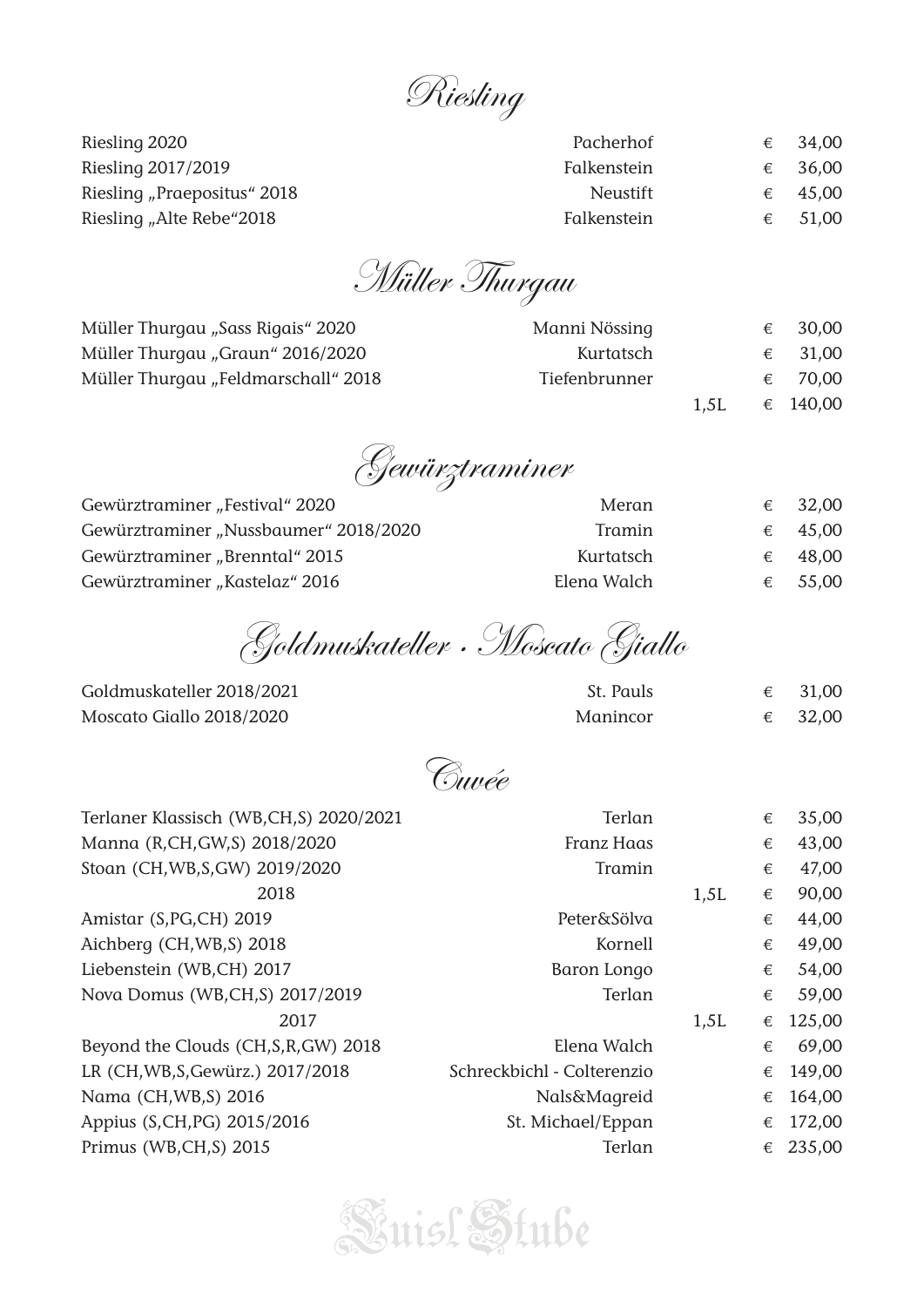Riesling

Riesling 2020 Riesling 2017/2019 Riesling "Praepositus" 2018 Riesling "Alte Rebe"2018

| Pacherhof       | € | 34,00   |
|-----------------|---|---------|
| Falkenstein     |   | € 36,00 |
| <b>Neustift</b> |   | € 45,00 |
| Falkenstein     | € | 51,00   |

Müller Thurgau

| Müller Thurgau "Sass Rigais" 2020   | Manni Nössing |      | € 30,00  |
|-------------------------------------|---------------|------|----------|
| Müller Thurgau "Graun" 2016/2020    | Kurtatsch     |      | € 31,00  |
| Müller Thurgau "Feldmarschall" 2018 | Tiefenbrunner |      | € 70,00  |
|                                     |               | 1.5L | € 140,00 |

Gewürztraminer

| Gewürztraminer "Festival" 2020        | Meran       |   | € 32,00          |
|---------------------------------------|-------------|---|------------------|
| Gewürztraminer "Nussbaumer" 2018/2020 | Tramin      |   | $\epsilon$ 45,00 |
| Gewürztraminer "Brenntal" 2015        | Kurtatsch   | € | 48,00            |
| Gewürztraminer "Kastelaz" 2016        | Elena Walch |   | € 55,00          |

Goldmuskateller · Moscato Giallo

Goldmuskateller 2018/2021 Moscato Giallo 2018/2020

| St. Pauls | 31,00   |
|-----------|---------|
| Manincor  | € 32,00 |

Cuvée

| Terlaner Klassisch (WB,CH,S) 2020/2021 | Terlan                     |      | € | 35,00  |
|----------------------------------------|----------------------------|------|---|--------|
| Manna (R,CH,GW,S) 2018/2020            | <b>Franz Haas</b>          |      | € | 43,00  |
| Stoan (CH, WB, S, GW) 2019/2020        | Tramin                     |      | € | 47,00  |
| 2018                                   |                            | 1,5L | € | 90,00  |
| Amistar (S, PG, CH) 2019               | Peter&Sölva                |      | € | 44,00  |
| Aichberg (CH, WB, S) 2018              | Kornell                    |      | € | 49,00  |
| Liebenstein (WB,CH) 2017               | Baron Longo                |      | € | 54,00  |
| Nova Domus (WB,CH,S) 2017/2019         | Terlan                     |      | € | 59,00  |
| 2017                                   |                            | 1,5L | € | 125,00 |
| Beyond the Clouds (CH, S, R, GW) 2018  | Elena Walch                |      | € | 69,00  |
| LR (CH, WB, S, Gewürz.) 2017/2018      | Schreckbichl - Colterenzio |      | € | 149,00 |
| Nama (CH, WB, S) 2016                  | Nals&Magreid               |      | € | 164,00 |
| Appius (S,CH,PG) 2015/2016             | St. Michael/Eppan          |      | € | 172,00 |
| Primus (WB,CH,S) 2015                  | Terlan                     |      | € | 235,00 |

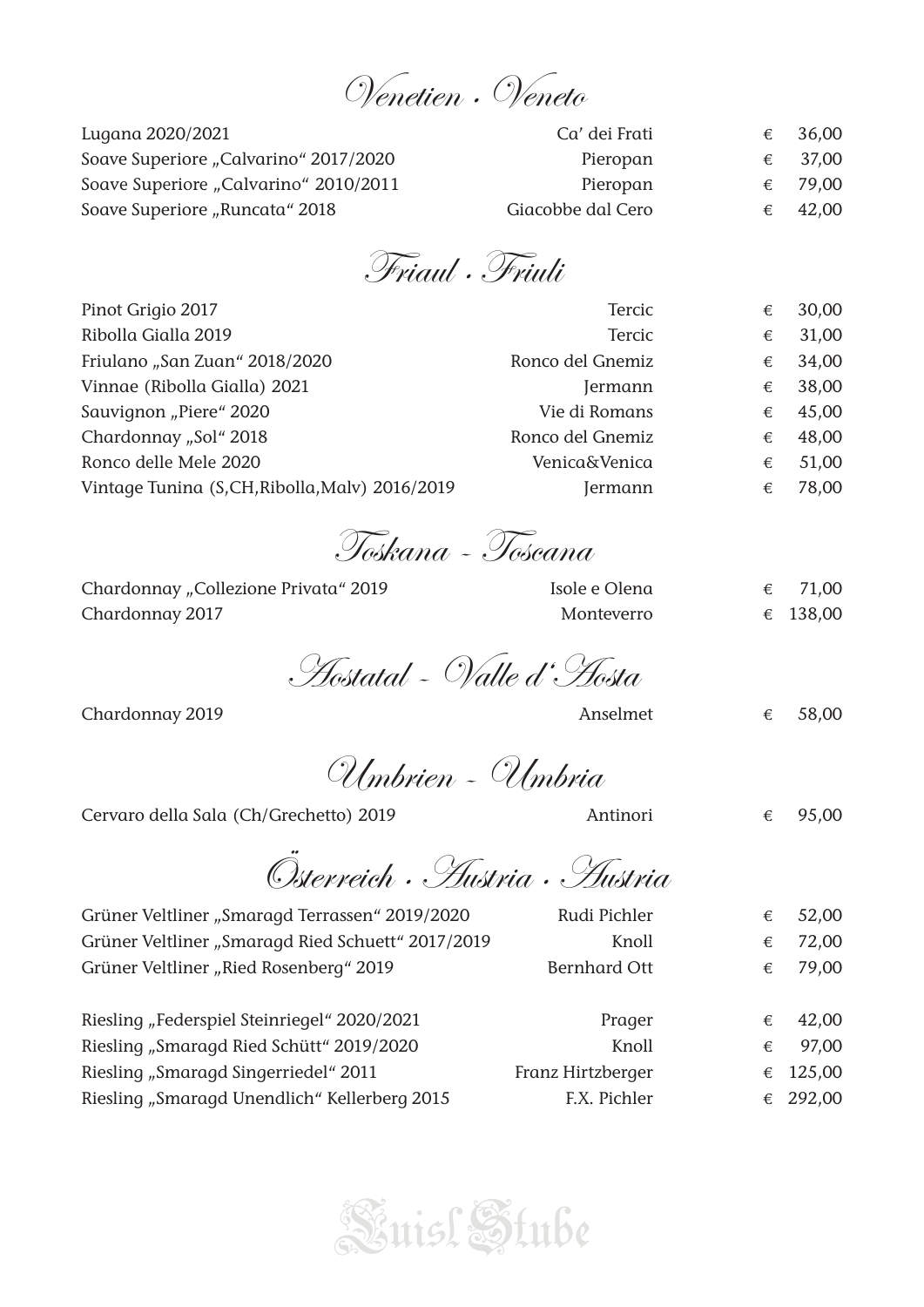# Venetien · Veneto

| Lugana 2020/2021                      | Ca' dei Frati     | 36,00            |
|---------------------------------------|-------------------|------------------|
| Soave Superiore "Calvarino" 2017/2020 | Pieropan          | 37,00            |
| Soave Superiore "Calvarino" 2010/2011 | Pieropan          | € 79,00          |
| Soave Superiore "Runcata" 2018        | Giacobbe dal Cero | $\epsilon$ 42,00 |

Friaul · Friuli

| 31,00 |
|-------|
| 34,00 |
| 38,00 |
| 45,00 |
| 48,00 |
| 51,00 |
| 78,00 |
|       |

Toskana - Toscana

| Chardonnay "Collezione Privata" 2019 | Isole e Olena | $\epsilon$ 71,00 |
|--------------------------------------|---------------|------------------|
| Chardonnay 2017                      | Monteverro    | € 138,00         |

Aostatal - Valle d'Aosta

Chardonnay 2019 **Chardonnay 2019 Anselmet**  $\epsilon$  58,00

Umbrien - Umbria

Cervaro della Sala (Ch/Grechetto) 2019 Antinori € 95,00

Österreich · Austria · Austria

| Rudi Pichler        | € | 52,00    |
|---------------------|---|----------|
| Knoll               | € | 72,00    |
| <b>Bernhard Ott</b> | € | 79,00    |
|                     |   |          |
| Prager              | € | 42,00    |
| Knoll               | € | 97,00    |
| Franz Hirtzberger   | € | 125,00   |
| F.X. Pichler        |   | € 292,00 |
|                     |   |          |



- -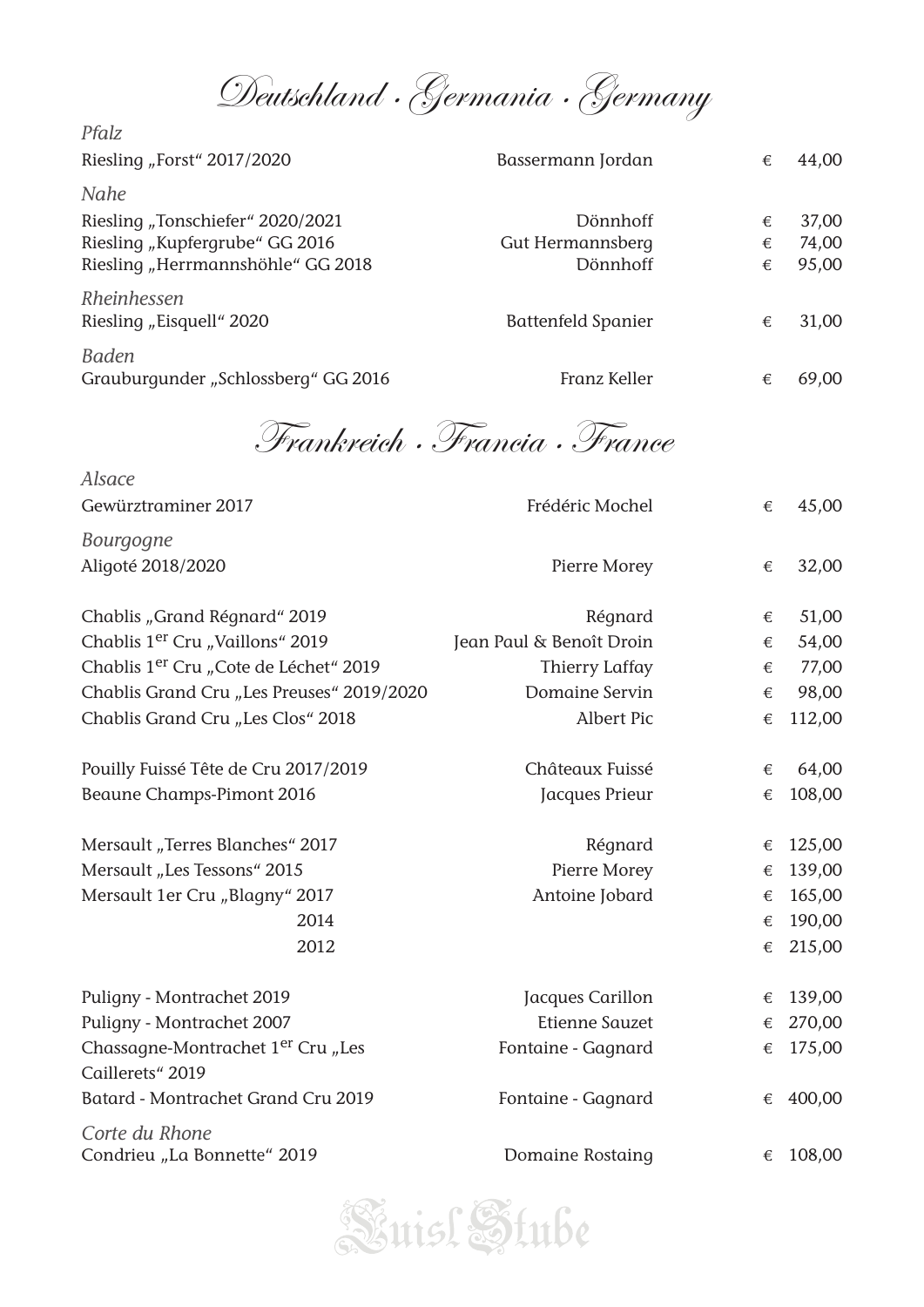Deutschland · Germania · Germany

| Pfalz                               |                    |   |       |
|-------------------------------------|--------------------|---|-------|
| Riesling "Forst" 2017/2020          | Bassermann Jordan  | € | 44,00 |
| Nahe                                |                    |   |       |
| Riesling "Tonschiefer" 2020/2021    | Dönnhoff           | € | 37,00 |
| Riesling "Kupfergrube" GG 2016      | Gut Hermannsberg   | € | 74,00 |
| Riesling "Herrmannshöhle" GG 2018   | Dönnhoff           | € | 95,00 |
| Rheinhessen                         |                    |   |       |
| Riesling "Eisquell" 2020            | Battenfeld Spanier | € | 31,00 |
| <b>Baden</b>                        |                    |   |       |
| Grauburgunder "Schlossberg" GG 2016 | Franz Keller       | € | 69,00 |

Frankreich · Francia · France

| Alsace                                                            |                          |       |        |
|-------------------------------------------------------------------|--------------------------|-------|--------|
| Gewürztraminer 2017                                               | Frédéric Mochel          | €     | 45,00  |
| <b>Bourgogne</b>                                                  |                          |       |        |
| Aligoté 2018/2020                                                 | Pierre Morey             | €     | 32,00  |
| Chablis "Grand Régnard" 2019                                      | Régnard                  | €     | 51,00  |
| Chablis 1 <sup>er</sup> Cru "Vaillons" 2019                       | Jean Paul & Benoît Droin | €     | 54,00  |
| Chablis 1 <sup>er</sup> Cru "Cote de Léchet" 2019                 | <b>Thierry Laffay</b>    | €     | 77,00  |
| Chablis Grand Cru "Les Preuses" 2019/2020                         | Domaine Servin           | €     | 98,00  |
| Chablis Grand Cru "Les Clos" 2018                                 | <b>Albert Pic</b>        | $\in$ | 112,00 |
| Pouilly Fuissé Tête de Cru 2017/2019                              | Châteaux Fuissé          | €     | 64,00  |
| Beaune Champs-Pimont 2016                                         | Jacques Prieur           | €     | 108,00 |
| Mersault "Terres Blanches" 2017                                   | Régnard                  | €     | 125,00 |
| Mersault "Les Tessons" 2015                                       | Pierre Morey             | €     | 139,00 |
| Mersault 1er Cru "Blagny" 2017                                    | Antoine Jobard           | €     | 165,00 |
| 2014                                                              |                          | €     | 190,00 |
| 2012                                                              |                          | €     | 215,00 |
| Puligny - Montrachet 2019                                         | Jacques Carillon         | €     | 139,00 |
| Puligny - Montrachet 2007                                         | <b>Etienne Sauzet</b>    | €     | 270,00 |
| Chassagne-Montrachet 1 <sup>er</sup> Cru "Les<br>Caillerets" 2019 | Fontaine - Gagnard       | €     | 175,00 |
| Batard - Montrachet Grand Cru 2019                                | Fontaine - Gagnard       | €     | 400,00 |
| Corte du Rhone                                                    |                          |       |        |
| Condrieu "La Bonnette" 2019                                       | Domaine Rostaing         | €     | 108,00 |

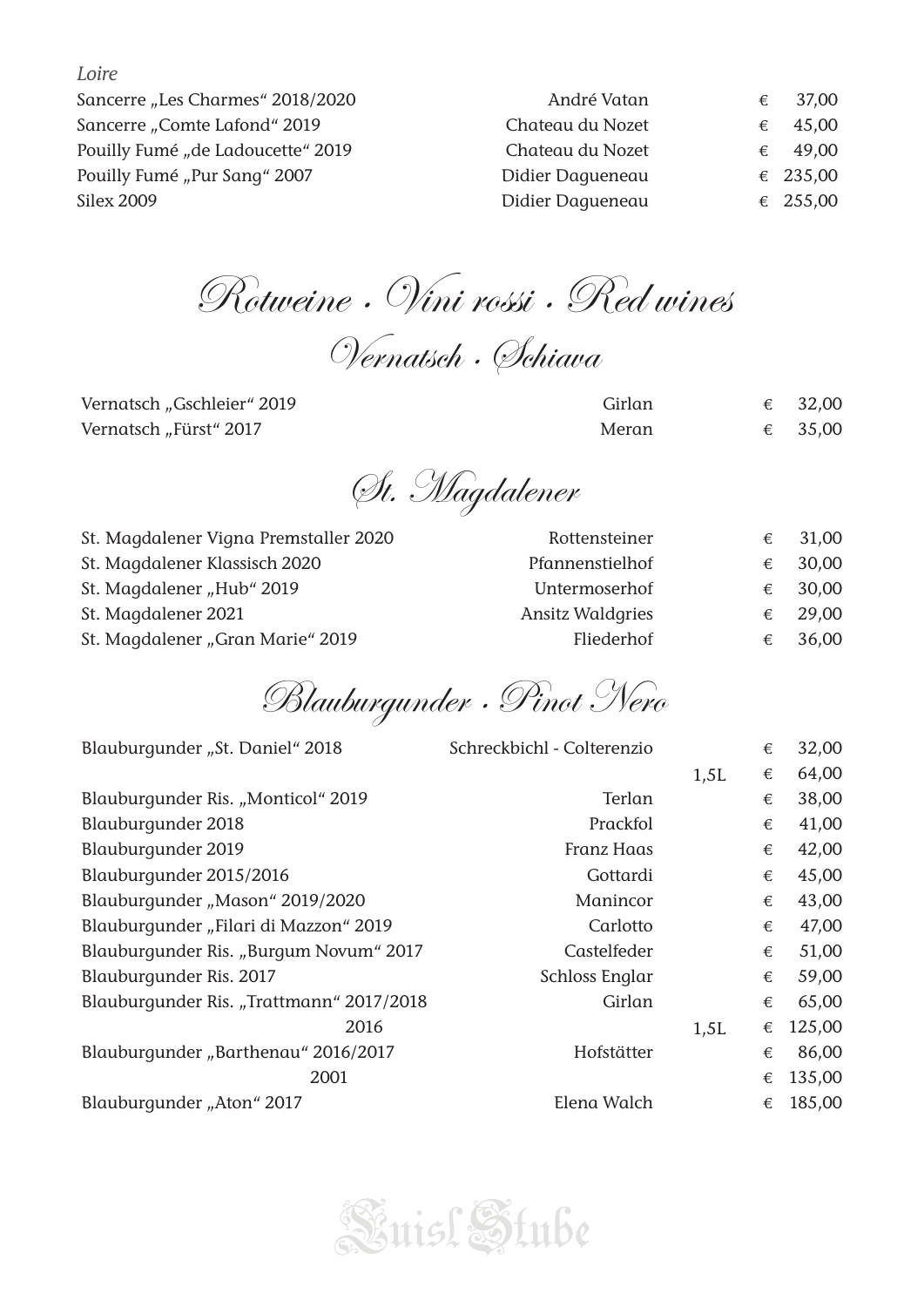*Loire*

| André Vatan      | € | 37,00    |
|------------------|---|----------|
| Chateau du Nozet | € | 45,00    |
| Chateau du Nozet |   | € 49,00  |
| Didier Daqueneau |   | € 235,00 |
| Didier Daqueneau |   | € 255,00 |
|                  |   |          |

Rotweine · Vini rossi · Red wines

Vernatsch · Schiava

Vernatsch "Gschleier" 2019 Vernatsch "Fürst" 2017

| Girlan | 32,00 |
|--------|-------|
| Meran  | 35,00 |

St. Magdalener

| St. Magdalener Vigna Premstaller 2020 | Rottensteiner           | €          | 31,00   |
|---------------------------------------|-------------------------|------------|---------|
| St. Magdalener Klassisch 2020         | Pfannenstielhof         | €          | 30,00   |
| St. Magdalener "Hub" 2019             | Untermoserhof           |            | € 30,00 |
| St. Magdalener 2021                   | <b>Ansitz Waldgries</b> | $\epsilon$ | 29,00   |
| St. Magdalener "Gran Marie" 2019      | Fliederhof              |            | € 36,00 |

Blauburgunder · Pinot Nero

| Blauburgunder "St. Daniel" 2018          | Schreckbichl - Colterenzio |      | € | 32,00  |
|------------------------------------------|----------------------------|------|---|--------|
|                                          |                            | 1,5L | € | 64,00  |
| Blauburgunder Ris. "Monticol" 2019       | Terlan                     |      | € | 38,00  |
| Blauburgunder 2018                       | Prackfol                   |      | € | 41,00  |
| Blauburgunder 2019                       | <b>Franz Haas</b>          |      | € | 42,00  |
| Blauburgunder 2015/2016                  | Gottardi                   |      | € | 45,00  |
| Blauburgunder "Mason" 2019/2020          | Manincor                   |      | € | 43,00  |
| Blauburgunder "Filari di Mazzon" 2019    | Carlotto                   |      | € | 47,00  |
| Blauburgunder Ris. "Burgum Novum" 2017   | Castelfeder                |      | € | 51,00  |
| Blauburgunder Ris. 2017                  | Schloss Englar             |      | € | 59,00  |
| Blauburgunder Ris. "Trattmann" 2017/2018 | Girlan                     |      | € | 65,00  |
| 2016                                     |                            | 1,5L | € | 125,00 |
| Blauburgunder "Barthenau" 2016/2017      | Hofstätter                 |      | € | 86,00  |
| 2001                                     |                            |      | € | 135,00 |
| Blauburgunder "Aton" 2017                | Elena Walch                |      | € | 185,00 |
|                                          |                            |      |   |        |

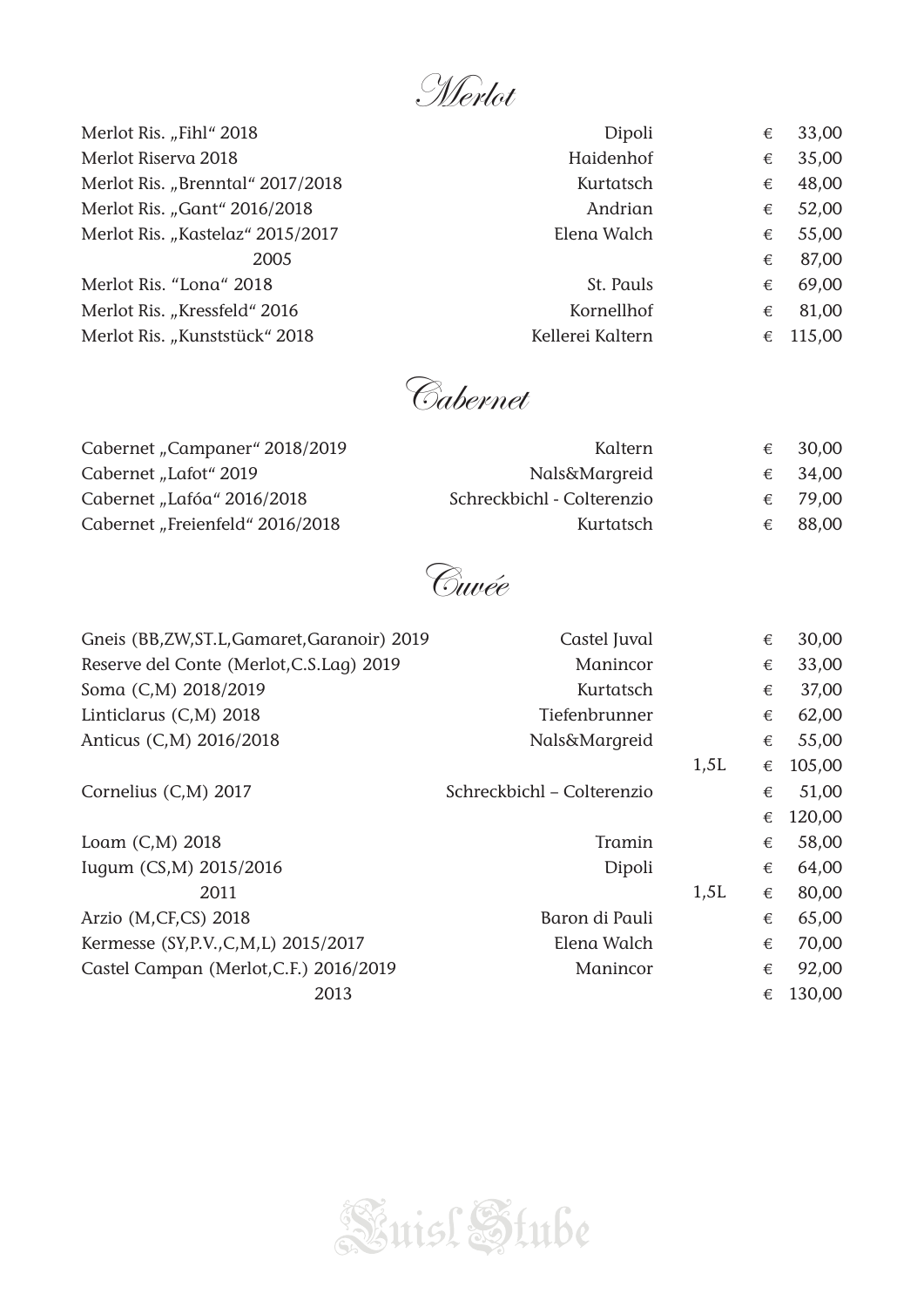Merlot

| Merlot Ris. "Fihl" 2018          | Dipoli           | € | 33,00  |
|----------------------------------|------------------|---|--------|
| Merlot Riserva 2018              | Haidenhof        | € | 35,00  |
| Merlot Ris. "Brenntal" 2017/2018 | Kurtatsch        | € | 48,00  |
| Merlot Ris. "Gant" 2016/2018     | Andrian          | € | 52,00  |
| Merlot Ris. "Kastelaz" 2015/2017 | Elena Walch      | € | 55,00  |
| 2005                             |                  | € | 87,00  |
| Merlot Ris. "Lona" 2018          | St. Pauls        | € | 69,00  |
| Merlot Ris. "Kressfeld" 2016     | Kornellhof       | € | 81,00  |
| Merlot Ris. "Kunststück" 2018    | Kellerei Kaltern | € | 115,00 |
|                                  |                  |   |        |

Cabernet

| Cabernet "Campaner" 2018/2019   | Kaltern                    | € 30,00 |
|---------------------------------|----------------------------|---------|
| Cabernet "Lafot" 2019           | Nals&Margreid              | € 34,00 |
| Cabernet "Lafóa" 2016/2018      | Schreckbichl - Colterenzio | € 79,00 |
| Cabernet "Freienfeld" 2016/2018 | Kurtatsch                  | € 88,00 |

Cuvée

| Gneis (BB,ZW,ST.L,Gamaret,Garanoir) 2019 | Castel Juval               |      | € | 30,00  |
|------------------------------------------|----------------------------|------|---|--------|
| Reserve del Conte (Merlot, C.S.Laq) 2019 | Manincor                   |      | € | 33,00  |
| Soma (C,M) 2018/2019                     | Kurtatsch                  |      | € | 37,00  |
| Linticlarus (C,M) 2018                   | Tiefenbrunner              |      | € | 62,00  |
| Anticus (C,M) 2016/2018                  | Nals&Margreid              |      | € | 55,00  |
|                                          |                            | 1,5L | € | 105,00 |
| Cornelius (C,M) 2017                     | Schreckbichl - Colterenzio |      | € | 51,00  |
|                                          |                            |      | € | 120,00 |
| Loam (C,M) 2018                          | Tramin                     |      | € | 58,00  |
| Iugum (CS,M) 2015/2016                   | Dipoli                     |      | € | 64,00  |
| 2011                                     |                            | 1,5L | € | 80,00  |
| Arzio (M,CF,CS) 2018                     | Baron di Pauli             |      | € | 65,00  |
| Kermesse (SY, P.V., C, M, L) 2015/2017   | Elena Walch                |      | € | 70,00  |
| Castel Campan (Merlot, C.F.) 2016/2019   | Manincor                   |      | € | 92,00  |
| 2013                                     |                            |      | € | 130,00 |

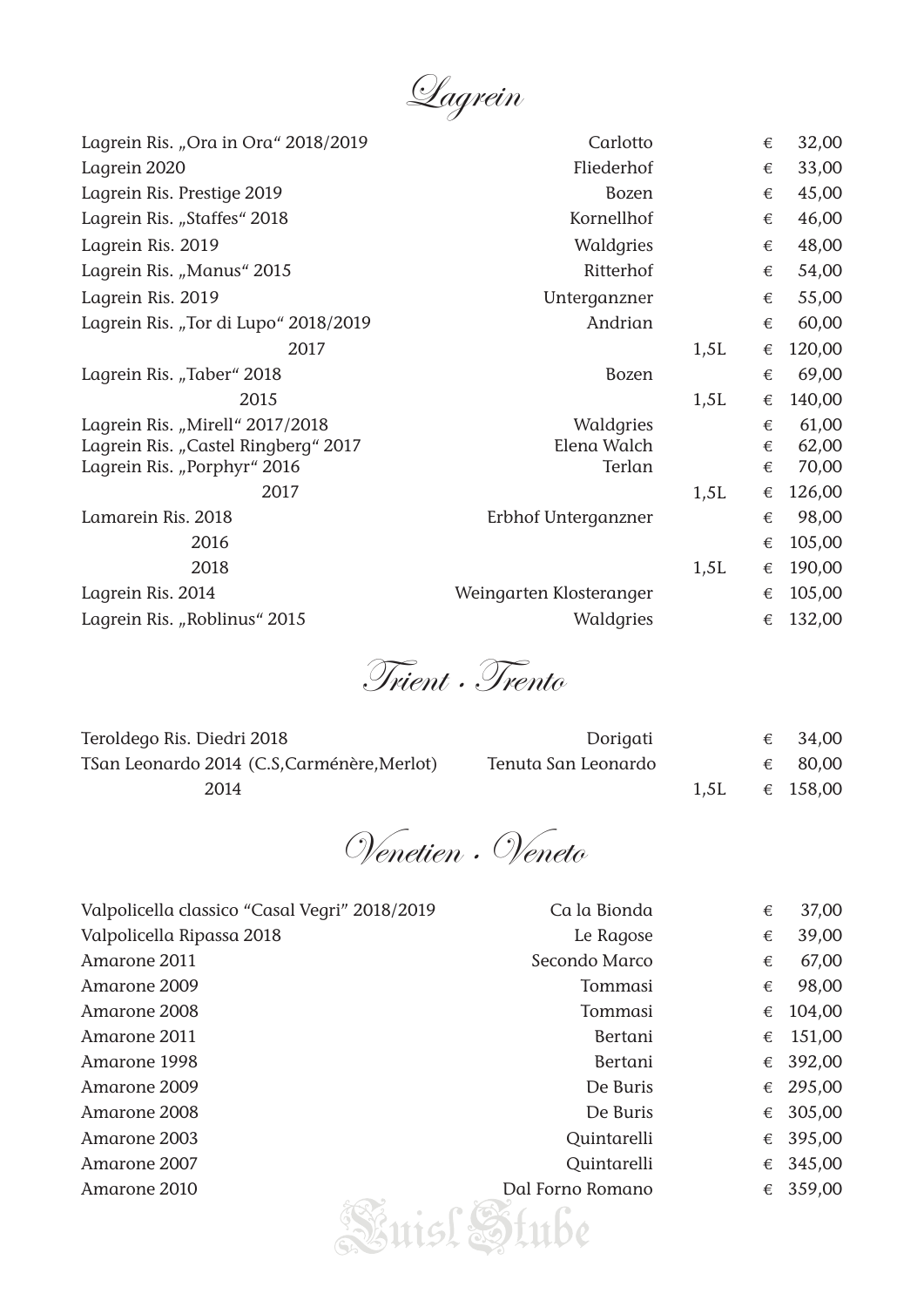Lagrein

| Lagrein Ris. "Ora in Ora" 2018/2019  | Carlotto                |      | € | 32,00  |
|--------------------------------------|-------------------------|------|---|--------|
| Lagrein 2020                         | Fliederhof              |      | € | 33,00  |
| Lagrein Ris. Prestige 2019           | <b>Bozen</b>            |      | € | 45,00  |
| Lagrein Ris. "Staffes" 2018          | Kornellhof              |      | € | 46,00  |
| Lagrein Ris. 2019                    | Waldgries               |      | € | 48,00  |
| Lagrein Ris. "Manus" 2015            | Ritterhof               |      | € | 54,00  |
| Lagrein Ris. 2019                    | Unterganzner            |      | € | 55,00  |
| Lagrein Ris. "Tor di Lupo" 2018/2019 | Andrian                 |      | € | 60,00  |
| 2017                                 |                         | 1,5L | € | 120,00 |
| Lagrein Ris. "Taber" 2018            | <b>Bozen</b>            |      | € | 69,00  |
| 2015                                 |                         | 1,5L | € | 140,00 |
| Lagrein Ris. "Mirell" 2017/2018      | Waldgries               |      | € | 61,00  |
| Lagrein Ris. "Castel Ringberg" 2017  | Elena Walch             |      | € | 62,00  |
| Lagrein Ris. "Porphyr" 2016          | Terlan                  |      | € | 70,00  |
| 2017                                 |                         | 1,5L | € | 126,00 |
| Lamarein Ris. 2018                   | Erbhof Unterganzner     |      | € | 98,00  |
| 2016                                 |                         |      | € | 105,00 |
| 2018                                 |                         | 1,5L | € | 190,00 |
| Lagrein Ris. 2014                    | Weingarten Klosteranger |      | € | 105,00 |
| Lagrein Ris. "Roblinus" 2015         | Waldgries               |      | € | 132,00 |
|                                      |                         |      |   |        |

Trient · Trento

| Teroldego Ris. Diedri 2018                 | Dorigati            | € | 34,00    |
|--------------------------------------------|---------------------|---|----------|
| TSan Leonardo 2014 (C.S.Carménère, Merlot) | Tenuta San Leonardo |   | 80,00    |
| 2014                                       |                     |   | € 158,00 |

Venetien · Veneto

| Valpolicella classico "Casal Vegri" 2018/2019 | Ca la Bionda     | € | 37,00  |
|-----------------------------------------------|------------------|---|--------|
| Valpolicella Ripassa 2018                     | Le Ragose        | € | 39,00  |
| Amarone 2011                                  | Secondo Marco    | € | 67,00  |
| Amarone 2009                                  | Tommasi          | € | 98,00  |
| Amarone 2008                                  | Tommasi          | € | 104,00 |
| Amarone 2011                                  | Bertani          | € | 151,00 |
| Amarone 1998                                  | Bertani          | € | 392,00 |
| Amarone 2009                                  | De Buris         | € | 295,00 |
| Amarone 2008                                  | De Buris         | € | 305,00 |
| Amarone 2003                                  | Quintarelli      | € | 395,00 |
| Amarone 2007                                  | Quintarelli      | € | 345,00 |
| Amarone 2010                                  | Dal Forno Romano | € | 359,00 |
|                                               |                  |   |        |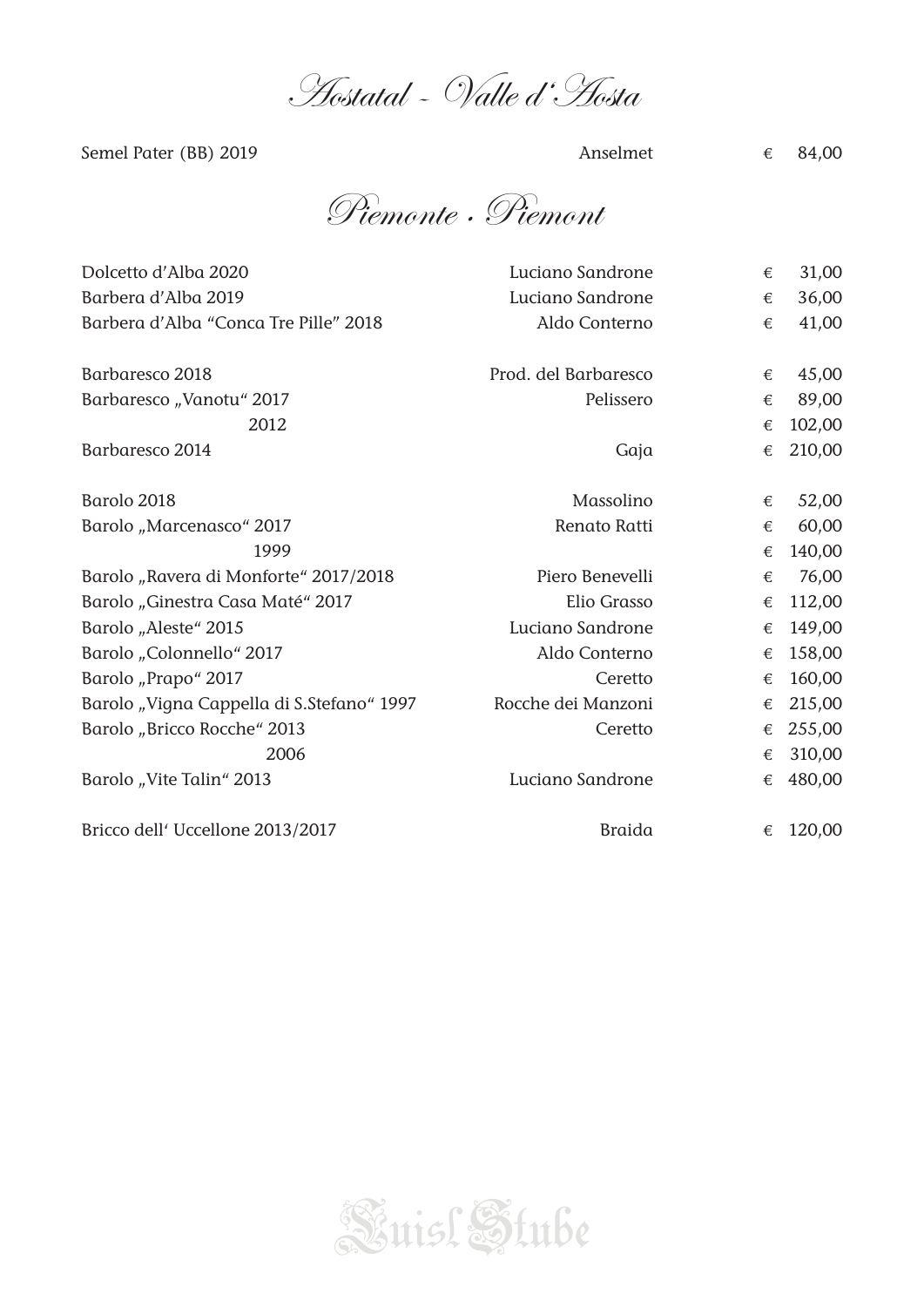Aostatal - Valle d'Aosta

Semel Pater (BB) 2019  $\epsilon$  84,00

Piemonte · Piemont

| Dolcetto d'Alba 2020                      | Luciano Sandrone     | € | 31,00  |
|-------------------------------------------|----------------------|---|--------|
| Barbera d'Alba 2019                       | Luciano Sandrone     | € | 36,00  |
| Barbera d'Alba "Conca Tre Pille" 2018     | Aldo Conterno        | € | 41,00  |
| Barbaresco 2018                           | Prod. del Barbaresco | € | 45,00  |
| Barbaresco "Vanotu" 2017                  | Pelissero            | € | 89,00  |
| 2012                                      |                      | € | 102,00 |
| Barbaresco 2014                           | Gaja                 | € | 210,00 |
| Barolo 2018                               | Massolino            | € | 52,00  |
| Barolo "Marcenasco" 2017                  | Renato Ratti         | € | 60,00  |
| 1999                                      |                      | € | 140,00 |
| Barolo "Ravera di Monforte" 2017/2018     | Piero Benevelli      | € | 76,00  |
| Barolo "Ginestra Casa Maté" 2017          | Elio Grasso          | € | 112,00 |
| Barolo "Aleste" 2015                      | Luciano Sandrone     | € | 149,00 |
| Barolo "Colonnello" 2017                  | Aldo Conterno        | € | 158,00 |
| Barolo "Prapo" 2017                       | Ceretto              | € | 160,00 |
| Barolo "Vigna Cappella di S.Stefano" 1997 | Rocche dei Manzoni   | € | 215,00 |
| Barolo "Bricco Rocche" 2013               | Ceretto              | € | 255,00 |
| 2006                                      |                      | € | 310,00 |
| Barolo "Vite Talin" 2013                  | Luciano Sandrone     | € | 480,00 |
| Bricco dell' Uccellone 2013/2017          | <b>Braida</b>        | € | 120,00 |

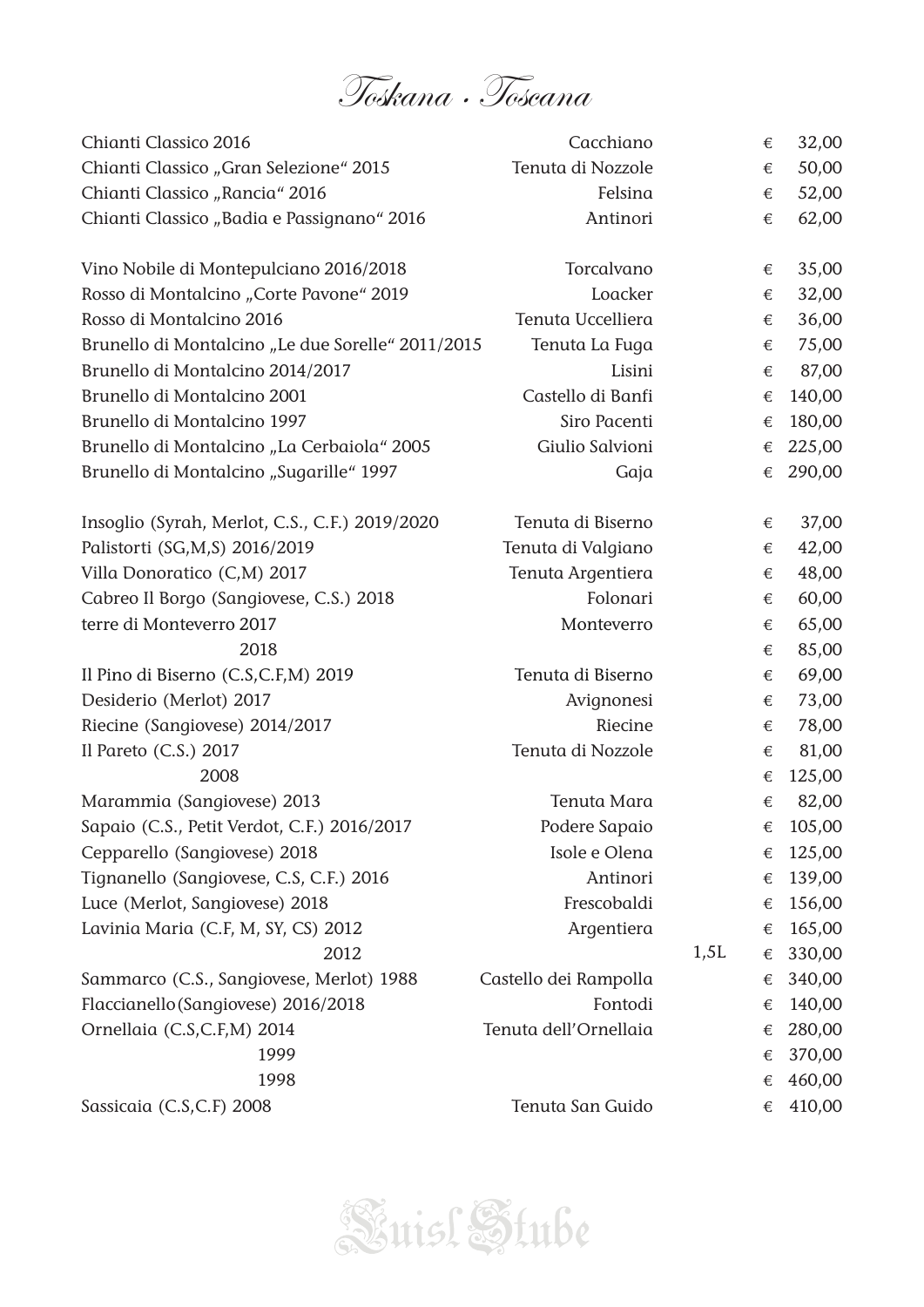

| Chianti Classico 2016                             | Cacchiano             |      | € | 32,00  |
|---------------------------------------------------|-----------------------|------|---|--------|
| Chianti Classico "Gran Selezione" 2015            | Tenuta di Nozzole     |      | € | 50,00  |
| Chianti Classico "Rancia" 2016                    | Felsina               |      | € | 52,00  |
| Chianti Classico "Badia e Passignano" 2016        | Antinori              |      | € | 62,00  |
| Vino Nobile di Montepulciano 2016/2018            | Torcalvano            |      | € | 35,00  |
| Rosso di Montalcino "Corte Pavone" 2019           | Loacker               |      | € | 32,00  |
| Rosso di Montalcino 2016                          | Tenuta Uccelliera     |      | € | 36,00  |
| Brunello di Montalcino "Le due Sorelle" 2011/2015 | Tenuta La Fuga        |      | € | 75,00  |
| Brunello di Montalcino 2014/2017                  | Lisini                |      | € | 87,00  |
| Brunello di Montalcino 2001                       | Castello di Banfi     |      | € | 140,00 |
| Brunello di Montalcino 1997                       | Siro Pacenti          |      | € | 180,00 |
| Brunello di Montalcino "La Cerbaiola" 2005        | Giulio Salvioni       |      | € | 225,00 |
| Brunello di Montalcino "Sugarille" 1997           | Gaja                  |      | € | 290,00 |
| Insoglio (Syrah, Merlot, C.S., C.F.) 2019/2020    | Tenuta di Biserno     |      | € | 37,00  |
| Palistorti (SG,M,S) 2016/2019                     | Tenuta di Valgiano    |      | € | 42,00  |
| Villa Donoratico (C,M) 2017                       | Tenuta Argentiera     |      | € | 48,00  |
| Cabreo Il Borgo (Sangiovese, C.S.) 2018           | Folonari              |      | € | 60,00  |
| terre di Monteverro 2017                          | Monteverro            |      | € | 65,00  |
| 2018                                              |                       |      | € | 85,00  |
| Il Pino di Biserno (C.S,C.F,M) 2019               | Tenuta di Biserno     |      | € | 69,00  |
| Desiderio (Merlot) 2017                           | Avignonesi            |      | € | 73,00  |
| Riecine (Sangiovese) 2014/2017                    | Riecine               |      | € | 78,00  |
| Il Pareto (C.S.) 2017                             | Tenuta di Nozzole     |      | € | 81,00  |
| 2008                                              |                       |      | € | 125,00 |
| Marammia (Sangiovese) 2013                        | Tenuta Mara           |      | € | 82,00  |
| Sapaio (C.S., Petit Verdot, C.F.) 2016/2017       | Podere Sapaio         |      | € | 105,00 |
| Cepparello (Sangiovese) 2018                      | Isole e Olena         |      | € | 125,00 |
| Tignanello (Sangiovese, C.S, C.F.) 2016           | Antinori              |      | € | 139,00 |
| Luce (Merlot, Sangiovese) 2018                    | Frescobaldi           |      | € | 156,00 |
| Lavinia Maria (C.F, M, SY, CS) 2012               | Argentiera            |      | € | 165,00 |
| 2012                                              |                       | 1,5L | € | 330,00 |
| Sammarco (C.S., Sangiovese, Merlot) 1988          | Castello dei Rampolla |      | € | 340,00 |
| Flaccianello (Sangiovese) 2016/2018               | Fontodi               |      | € | 140,00 |
| Ornellaia (C.S,C.F,M) 2014                        | Tenuta dell'Ornellaia |      | € | 280,00 |
| 1999                                              |                       |      | € | 370,00 |
| 1998                                              |                       |      | € | 460,00 |
| Sassicaia (C.S,C.F) 2008                          | Tenuta San Guido      |      | € | 410,00 |

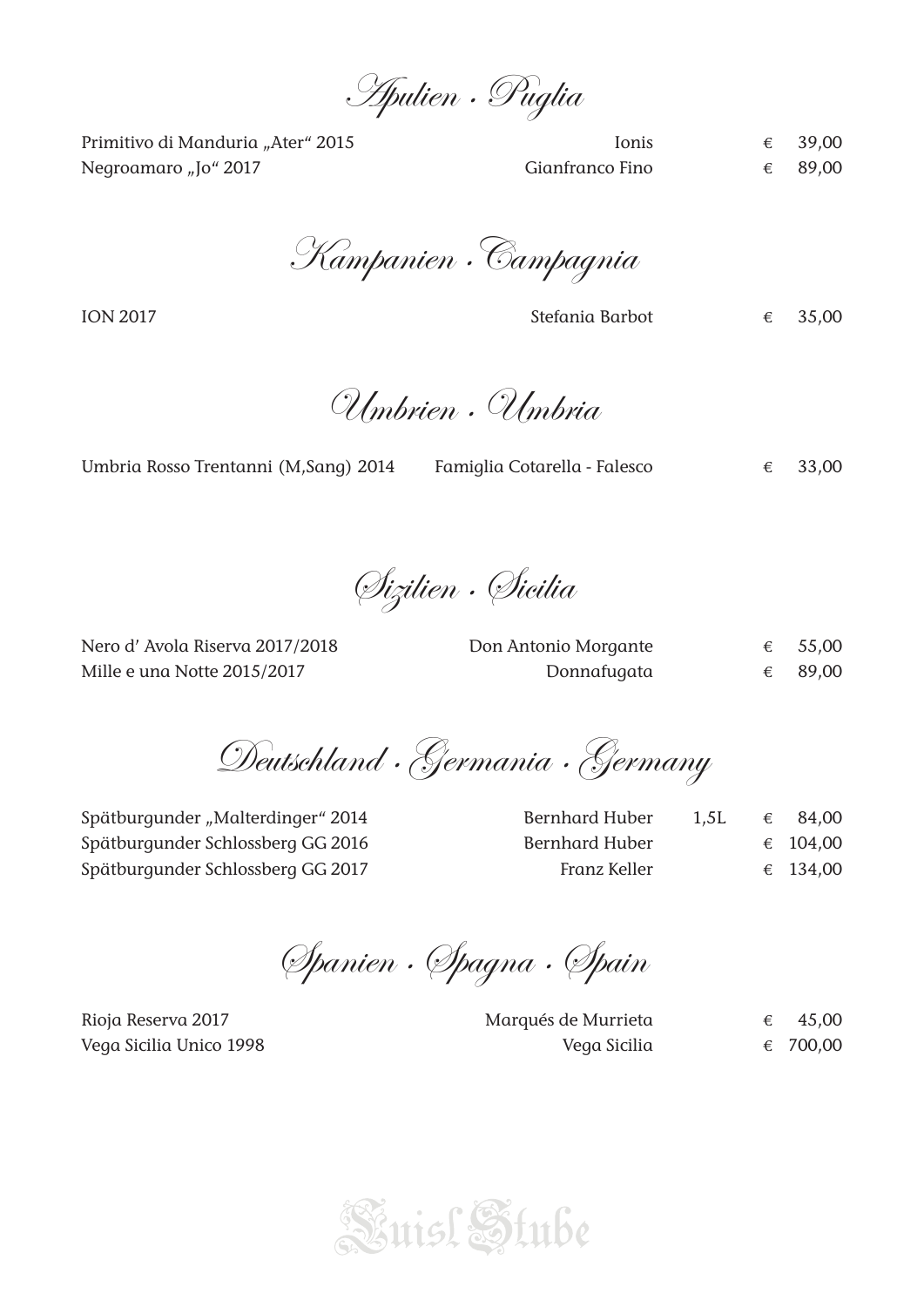Apulien · Puglia

Primitivo di Manduria "Ater" 2015 Ionis € 39,00 Negroamaro "Jo" 2017  $\epsilon$  89,00

Kampanien ·Campagnia

ION 2017 Stefania Barbot  $\epsilon$  35.00

Umbrien · Umbria

|  | Umbria Rosso Trentanni (M, Sang) 2014 | Famiglia Cotarella - Falesco |  | € 33,00 |
|--|---------------------------------------|------------------------------|--|---------|
|  |                                       |                              |  |         |

Sizilien · Sicilia

Nero d' Avola Riserva 2017/2018 Don Borgan Mille e una Notte 2015/2017

| Don Antonio Morgante | 55,00 |
|----------------------|-------|
| Donnafugata          | 89,00 |

Deutschland · Germania · Germany

Spätburgunder "Malterdinger" 2014 Spätburgunder Schlossberg GG 2016 Spätburgunder Schlossberg GG 2017

| Bernhard Huber | 1,5L | € | 84.00    |
|----------------|------|---|----------|
| Bernhard Huber |      |   | € 104,00 |
| Franz Keller   |      |   | € 134,00 |

Spanien · Spagna · Spain

Rioja Reserva 2017 Marqués de Murrieta € 45,00 Vega Sicilia Unico 1998 Vega Sicilia € 700,00

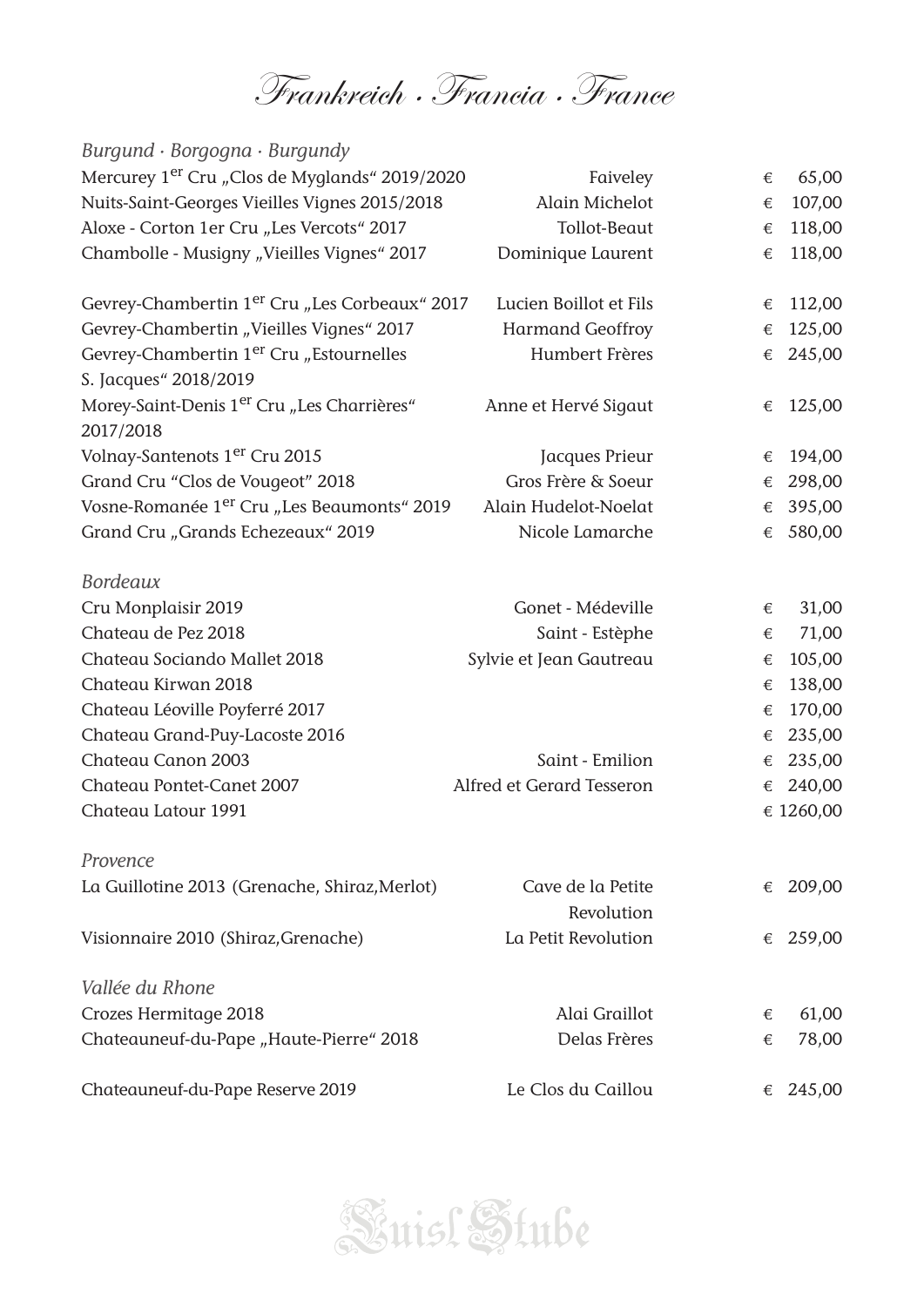Frankreich · Francia · France

| Burgund · Borgogna · Burgundy                                                |                                 |   |           |
|------------------------------------------------------------------------------|---------------------------------|---|-----------|
| Mercurey 1 <sup>er</sup> Cru "Clos de Myglands" 2019/2020                    | Faiveley                        | € | 65,00     |
| Nuits-Saint-Georges Vieilles Vignes 2015/2018                                | Alain Michelot                  | € | 107,00    |
| Aloxe - Corton 1er Cru "Les Vercots" 2017                                    | Tollot-Beaut                    | € | 118,00    |
| Chambolle - Musigny "Vieilles Vignes" 2017                                   | Dominique Laurent               | € | 118,00    |
| Gevrey-Chambertin 1 <sup>er</sup> Cru "Les Corbeaux" 2017                    | Lucien Boillot et Fils          | € | 112,00    |
| Gevrey-Chambertin "Vieilles Vignes" 2017                                     | <b>Harmand Geoffroy</b>         | € | 125,00    |
| Gevrey-Chambertin 1 <sup>er</sup> Cru "Estournelles<br>S. Jacques" 2018/2019 | Humbert Frères                  | € | 245,00    |
| Morey-Saint-Denis 1 <sup>er</sup> Cru "Les Charrières"<br>2017/2018          | Anne et Hervé Sigaut            | € | 125,00    |
| Volnay-Santenots 1 <sup>er</sup> Cru 2015                                    | Jacques Prieur                  | € | 194,00    |
| Grand Cru "Clos de Vougeot" 2018                                             | Gros Frère & Soeur              | € | 298,00    |
| Vosne-Romanée 1 <sup>er</sup> Cru "Les Beaumonts" 2019                       | Alain Hudelot-Noelat            | € | 395,00    |
| Grand Cru "Grands Echezeaux" 2019                                            | Nicole Lamarche                 | € | 580,00    |
| <b>Bordeaux</b>                                                              |                                 |   |           |
| Cru Monplaisir 2019                                                          | Gonet - Médeville               | € | 31,00     |
| Chateau de Pez 2018                                                          | Saint - Estèphe                 | € | 71,00     |
| Chateau Sociando Mallet 2018                                                 | Sylvie et Jean Gautreau         | € | 105,00    |
| Chateau Kirwan 2018                                                          |                                 | € | 138,00    |
| Chateau Léoville Poyferré 2017                                               |                                 | € | 170,00    |
| Chateau Grand-Puy-Lacoste 2016                                               |                                 | € | 235,00    |
| Chateau Canon 2003                                                           | Saint - Emilion                 | € | 235,00    |
| Chateau Pontet-Canet 2007                                                    | Alfred et Gerard Tesseron       | € | 240,00    |
| Chateau Latour 1991                                                          |                                 |   | € 1260,00 |
| Provence                                                                     |                                 |   |           |
| La Guillotine 2013 (Grenache, Shiraz, Merlot)                                | Cave de la Petite<br>Revolution | € | 209,00    |
| Visionnaire 2010 (Shiraz, Grenache)                                          | La Petit Revolution             | € | 259,00    |
| Vallée du Rhone                                                              |                                 |   |           |
| Crozes Hermitage 2018                                                        | Alai Graillot                   | € | 61,00     |
| Chateauneuf-du-Pape "Haute-Pierre" 2018                                      | Delas Frères                    | € | 78,00     |
| Chateauneuf-du-Pape Reserve 2019                                             | Le Clos du Caillou              | € | 245,00    |

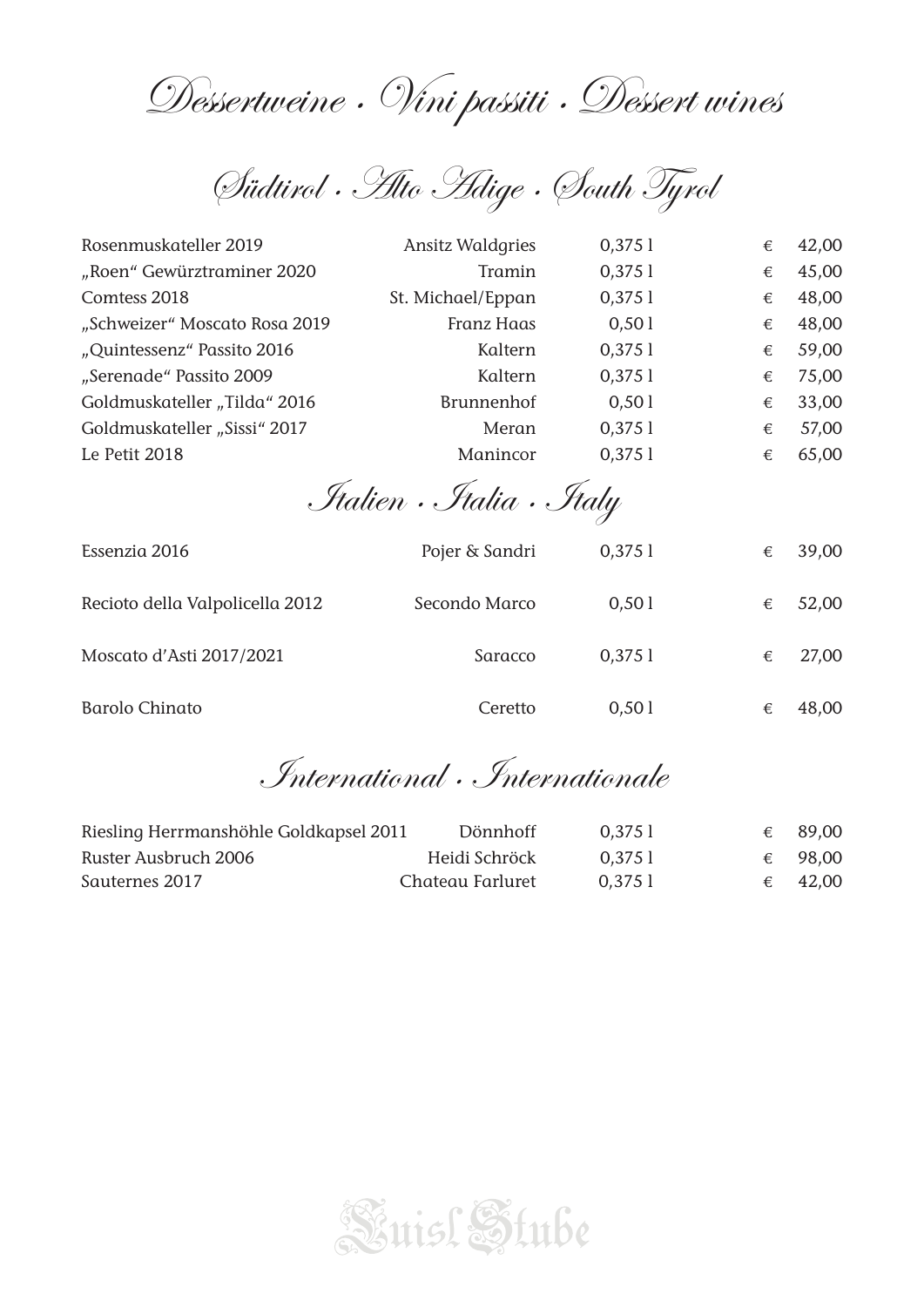Dessertweine · Vini passiti · Dessert wines

Südtirol · Alto Adige · South Tyrol

| Rosenmuskateller 2019           | <b>Ansitz Waldgries</b>     | $0,375$ l | € | 42,00 |
|---------------------------------|-----------------------------|-----------|---|-------|
| "Roen" Gewürztraminer 2020      | Tramin                      | $0,375$ ] | € | 45,00 |
| Comtess 2018                    | St. Michael/Eppan           | $0,375$ ] | € | 48,00 |
| "Schweizer" Moscato Rosa 2019   | Franz Haas                  | 0,501     | € | 48,00 |
| "Quintessenz" Passito 2016      | Kaltern                     | $0,375$ ] | € | 59,00 |
| "Serenade" Passito 2009         | Kaltern                     | $0,375$ ] | € | 75,00 |
| Goldmuskateller "Tilda" 2016    | <b>Brunnenhof</b>           | 0,501     | € | 33,00 |
| Goldmuskateller "Sissi" 2017    | Meran                       | $0,375$ ] | € | 57,00 |
| Le Petit 2018                   | Manincor                    | $0,375$ ] | € | 65,00 |
|                                 | <i>Jtalien Btalia Btaly</i> |           |   |       |
| Essenzia 2016                   | Pojer & Sandri              | $0,375$ l | € | 39,00 |
| Recioto della Valpolicella 2012 | Secondo Marco               | 0,501     | € | 52,00 |
| Moscato d'Asti 2017/2021        | Saracco                     | $0,375$ ] | € | 27,00 |
|                                 |                             |           |   |       |

International · Internationale

| Riesling Herrmanshöhle Goldkapsel 2011 | Dönnhoff         | 0.3751 | € | 89,00            |
|----------------------------------------|------------------|--------|---|------------------|
| Ruster Ausbruch 2006                   | Heidi Schröck    | 0.3751 |   | € 98,00          |
| Sauternes 2017                         | Chateau Farluret | 0.3751 |   | $\epsilon$ 42,00 |